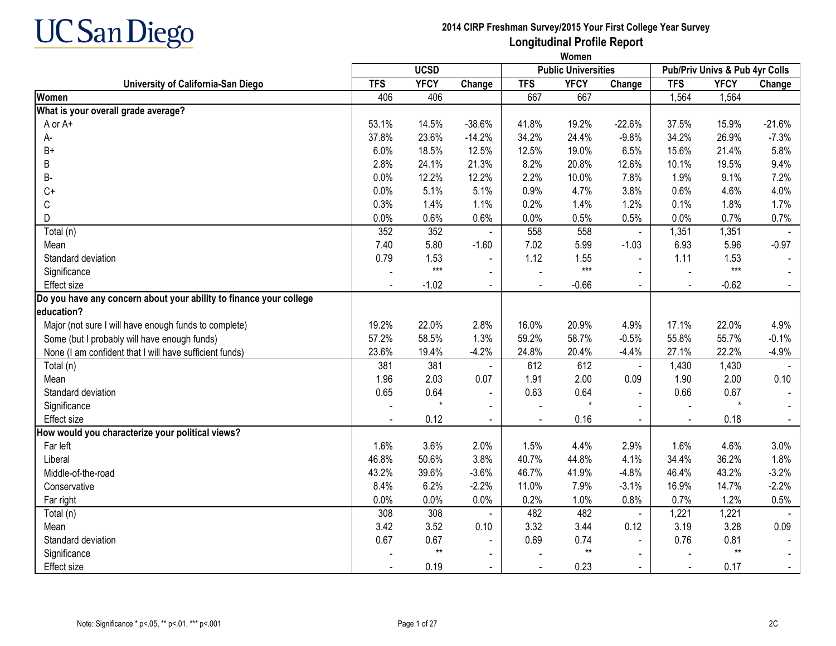

|                                                                    |            | <b>UCSD</b>     |                |            | <b>Public Universities</b> |                |                | Pub/Priv Univs & Pub 4yr Colls |          |
|--------------------------------------------------------------------|------------|-----------------|----------------|------------|----------------------------|----------------|----------------|--------------------------------|----------|
| University of California-San Diego                                 | <b>TFS</b> | <b>YFCY</b>     | Change         | <b>TFS</b> | <b>YFCY</b>                | Change         | <b>TFS</b>     | <b>YFCY</b>                    | Change   |
| Women                                                              | 406        | 406             |                | 667        | 667                        |                | 1,564          | 1,564                          |          |
| What is your overall grade average?                                |            |                 |                |            |                            |                |                |                                |          |
| A or A+                                                            | 53.1%      | 14.5%           | $-38.6%$       | 41.8%      | 19.2%                      | $-22.6%$       | 37.5%          | 15.9%                          | $-21.6%$ |
| А-                                                                 | 37.8%      | 23.6%           | $-14.2%$       | 34.2%      | 24.4%                      | $-9.8%$        | 34.2%          | 26.9%                          | $-7.3%$  |
| $B+$                                                               | 6.0%       | 18.5%           | 12.5%          | 12.5%      | 19.0%                      | 6.5%           | 15.6%          | 21.4%                          | 5.8%     |
| В                                                                  | 2.8%       | 24.1%           | 21.3%          | 8.2%       | 20.8%                      | 12.6%          | 10.1%          | 19.5%                          | 9.4%     |
| B-                                                                 | 0.0%       | 12.2%           | 12.2%          | 2.2%       | 10.0%                      | 7.8%           | 1.9%           | 9.1%                           | 7.2%     |
| $C+$                                                               | 0.0%       | 5.1%            | 5.1%           | 0.9%       | 4.7%                       | 3.8%           | 0.6%           | 4.6%                           | 4.0%     |
| С                                                                  | 0.3%       | 1.4%            | 1.1%           | 0.2%       | 1.4%                       | 1.2%           | 0.1%           | 1.8%                           | 1.7%     |
| D                                                                  | 0.0%       | 0.6%            | 0.6%           | 0.0%       | 0.5%                       | 0.5%           | 0.0%           | 0.7%                           | 0.7%     |
| Total (n)                                                          | 352        | 352             |                | 558        | 558                        | $\blacksquare$ | 1,351          | 1,351                          |          |
| Mean                                                               | 7.40       | 5.80            | $-1.60$        | 7.02       | 5.99                       | $-1.03$        | 6.93           | 5.96                           | $-0.97$  |
| Standard deviation                                                 | 0.79       | 1.53            | $\blacksquare$ | 1.12       | 1.55                       | $\blacksquare$ | 1.11           | 1.53                           |          |
| Significance                                                       |            | $***$           | $\blacksquare$ |            | $***$                      |                |                | $***$                          |          |
| Effect size                                                        |            | $-1.02$         |                |            | $-0.66$                    |                |                | $-0.62$                        |          |
| Do you have any concern about your ability to finance your college |            |                 |                |            |                            |                |                |                                |          |
| education?                                                         |            |                 |                |            |                            |                |                |                                |          |
| Major (not sure I will have enough funds to complete)              | 19.2%      | 22.0%           | 2.8%           | 16.0%      | 20.9%                      | 4.9%           | 17.1%          | 22.0%                          | 4.9%     |
| Some (but I probably will have enough funds)                       | 57.2%      | 58.5%           | 1.3%           | 59.2%      | 58.7%                      | $-0.5%$        | 55.8%          | 55.7%                          | $-0.1%$  |
| None (I am confident that I will have sufficient funds)            | 23.6%      | 19.4%           | $-4.2%$        | 24.8%      | 20.4%                      | $-4.4%$        | 27.1%          | 22.2%                          | $-4.9%$  |
| Total (n)                                                          | 381        | 381             | $\blacksquare$ | 612        | 612                        | $\blacksquare$ | 1,430          | 1,430                          |          |
| Mean                                                               | 1.96       | 2.03            | 0.07           | 1.91       | 2.00                       | 0.09           | 1.90           | 2.00                           | 0.10     |
| Standard deviation                                                 | 0.65       | 0.64            | $\blacksquare$ | 0.63       | 0.64                       |                | 0.66           | 0.67                           |          |
| Significance                                                       |            | $\star$         | $\blacksquare$ |            | $\star$                    |                |                | $\star$                        |          |
| Effect size                                                        |            | 0.12            | $\sim$         |            | 0.16                       | $\blacksquare$ | $\blacksquare$ | 0.18                           |          |
| How would you characterize your political views?                   |            |                 |                |            |                            |                |                |                                |          |
| Far left                                                           | 1.6%       | 3.6%            | 2.0%           | 1.5%       | 4.4%                       | 2.9%           | 1.6%           | 4.6%                           | 3.0%     |
| Liberal                                                            | 46.8%      | 50.6%           | 3.8%           | 40.7%      | 44.8%                      | 4.1%           | 34.4%          | 36.2%                          | 1.8%     |
| Middle-of-the-road                                                 | 43.2%      | 39.6%           | $-3.6%$        | 46.7%      | 41.9%                      | $-4.8%$        | 46.4%          | 43.2%                          | $-3.2%$  |
| Conservative                                                       | 8.4%       | 6.2%            | $-2.2%$        | 11.0%      | 7.9%                       | $-3.1%$        | 16.9%          | 14.7%                          | $-2.2%$  |
| Far right                                                          | 0.0%       | 0.0%            | 0.0%           | 0.2%       | 1.0%                       | 0.8%           | 0.7%           | 1.2%                           | 0.5%     |
| Total (n)                                                          | 308        | 308             |                | 482        | 482                        | $\blacksquare$ | 1,221          | 1,221                          |          |
| Mean                                                               | 3.42       | 3.52            | 0.10           | 3.32       | 3.44                       | 0.12           | 3.19           | 3.28                           | 0.09     |
| Standard deviation                                                 | 0.67       | 0.67            | $\blacksquare$ | 0.69       | 0.74                       | $\mathbf{r}$   | 0.76           | 0.81                           |          |
| Significance                                                       |            | $^{\star\star}$ | $\blacksquare$ |            | $^{\star\star}$            | $\blacksquare$ |                | $**$                           |          |
| Effect size                                                        |            | 0.19            | $\blacksquare$ |            | 0.23                       |                | $\blacksquare$ | 0.17                           |          |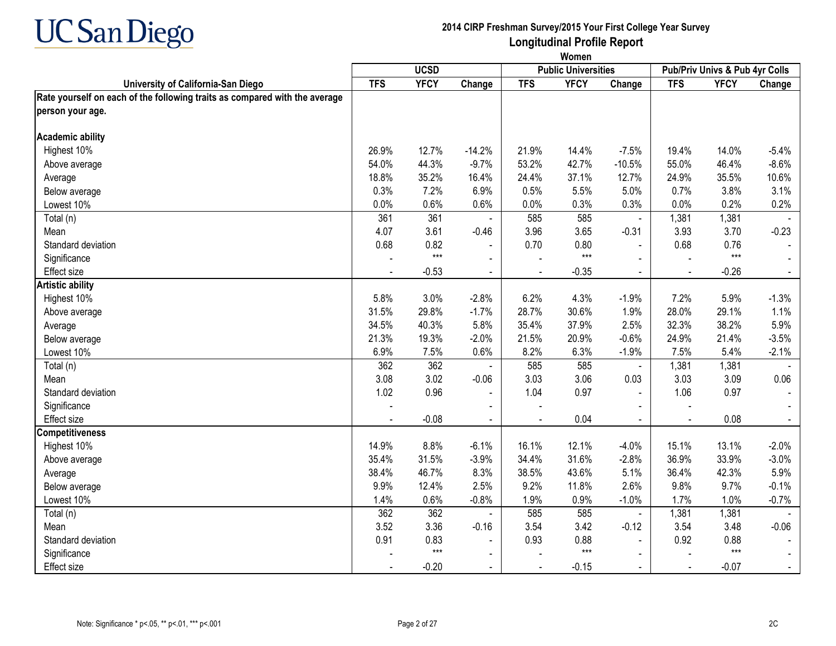

|                                                                            | Women      |             |                |                |                            |                |                |                                |                |  |  |
|----------------------------------------------------------------------------|------------|-------------|----------------|----------------|----------------------------|----------------|----------------|--------------------------------|----------------|--|--|
|                                                                            |            | <b>UCSD</b> |                |                | <b>Public Universities</b> |                |                | Pub/Priv Univs & Pub 4yr Colls |                |  |  |
| University of California-San Diego                                         | <b>TFS</b> | <b>YFCY</b> | Change         | <b>TFS</b>     | <b>YFCY</b>                | Change         | <b>TFS</b>     | <b>YFCY</b>                    | Change         |  |  |
| Rate yourself on each of the following traits as compared with the average |            |             |                |                |                            |                |                |                                |                |  |  |
| person your age.                                                           |            |             |                |                |                            |                |                |                                |                |  |  |
| <b>Academic ability</b>                                                    |            |             |                |                |                            |                |                |                                |                |  |  |
| Highest 10%                                                                | 26.9%      | 12.7%       | $-14.2%$       | 21.9%          | 14.4%                      | $-7.5%$        | 19.4%          | 14.0%                          | $-5.4%$        |  |  |
| Above average                                                              | 54.0%      | 44.3%       | $-9.7%$        | 53.2%          | 42.7%                      | $-10.5%$       | 55.0%          | 46.4%                          | $-8.6%$        |  |  |
| Average                                                                    | 18.8%      | 35.2%       | 16.4%          | 24.4%          | 37.1%                      | 12.7%          | 24.9%          | 35.5%                          | 10.6%          |  |  |
| Below average                                                              | 0.3%       | 7.2%        | 6.9%           | 0.5%           | 5.5%                       | 5.0%           | 0.7%           | 3.8%                           | 3.1%           |  |  |
| Lowest 10%                                                                 | 0.0%       | 0.6%        | 0.6%           | 0.0%           | 0.3%                       | 0.3%           | 0.0%           | 0.2%                           | 0.2%           |  |  |
| Total (n)                                                                  | 361        | 361         |                | 585            | 585                        | $\blacksquare$ | 1,381          | 1,381                          |                |  |  |
| Mean                                                                       | 4.07       | 3.61        | $-0.46$        | 3.96           | 3.65                       | $-0.31$        | 3.93           | 3.70                           | $-0.23$        |  |  |
| Standard deviation                                                         | 0.68       | 0.82        |                | 0.70           | 0.80                       | $\blacksquare$ | 0.68           | 0.76                           |                |  |  |
| Significance                                                               |            | $***$       |                |                | $***$                      |                |                | $***$                          |                |  |  |
| Effect size                                                                |            | $-0.53$     | $\blacksquare$ | $\blacksquare$ | $-0.35$                    | $\blacksquare$ | $\blacksquare$ | $-0.26$                        | $\blacksquare$ |  |  |
| <b>Artistic ability</b>                                                    |            |             |                |                |                            |                |                |                                |                |  |  |
| Highest 10%                                                                | 5.8%       | 3.0%        | $-2.8%$        | 6.2%           | 4.3%                       | $-1.9%$        | 7.2%           | 5.9%                           | $-1.3%$        |  |  |
| Above average                                                              | 31.5%      | 29.8%       | $-1.7%$        | 28.7%          | 30.6%                      | 1.9%           | 28.0%          | 29.1%                          | 1.1%           |  |  |
| Average                                                                    | 34.5%      | 40.3%       | 5.8%           | 35.4%          | 37.9%                      | 2.5%           | 32.3%          | 38.2%                          | 5.9%           |  |  |
| Below average                                                              | 21.3%      | 19.3%       | $-2.0%$        | 21.5%          | 20.9%                      | $-0.6%$        | 24.9%          | 21.4%                          | $-3.5%$        |  |  |
| Lowest 10%                                                                 | 6.9%       | 7.5%        | 0.6%           | 8.2%           | 6.3%                       | $-1.9%$        | 7.5%           | 5.4%                           | $-2.1%$        |  |  |
| Total (n)                                                                  | 362        | 362         |                | 585            | 585                        | $\blacksquare$ | 1,381          | 1,381                          |                |  |  |
| Mean                                                                       | 3.08       | 3.02        | $-0.06$        | 3.03           | 3.06                       | 0.03           | 3.03           | 3.09                           | 0.06           |  |  |
| Standard deviation                                                         | 1.02       | 0.96        |                | 1.04           | 0.97                       | $\blacksquare$ | 1.06           | 0.97                           |                |  |  |
| Significance                                                               |            |             |                |                |                            |                |                |                                |                |  |  |
| <b>Effect size</b>                                                         |            | $-0.08$     |                |                | 0.04                       | $\blacksquare$ |                | 0.08                           |                |  |  |
| <b>Competitiveness</b>                                                     |            |             |                |                |                            |                |                |                                |                |  |  |
| Highest 10%                                                                | 14.9%      | 8.8%        | $-6.1%$        | 16.1%          | 12.1%                      | $-4.0%$        | 15.1%          | 13.1%                          | $-2.0%$        |  |  |
| Above average                                                              | 35.4%      | 31.5%       | $-3.9%$        | 34.4%          | 31.6%                      | $-2.8%$        | 36.9%          | 33.9%                          | $-3.0%$        |  |  |
| Average                                                                    | 38.4%      | 46.7%       | 8.3%           | 38.5%          | 43.6%                      | 5.1%           | 36.4%          | 42.3%                          | 5.9%           |  |  |
| Below average                                                              | 9.9%       | 12.4%       | 2.5%           | 9.2%           | 11.8%                      | 2.6%           | 9.8%           | 9.7%                           | $-0.1%$        |  |  |
| Lowest 10%                                                                 | 1.4%       | 0.6%        | $-0.8%$        | 1.9%           | 0.9%                       | $-1.0%$        | 1.7%           | 1.0%                           | $-0.7%$        |  |  |
| Total (n)                                                                  | 362        | 362         |                | 585            | 585                        | $\blacksquare$ | 1,381          | 1,381                          |                |  |  |
| Mean                                                                       | 3.52       | 3.36        | $-0.16$        | 3.54           | 3.42                       | $-0.12$        | 3.54           | 3.48                           | $-0.06$        |  |  |
| Standard deviation                                                         | 0.91       | 0.83        | $\blacksquare$ | 0.93           | 0.88                       | $\overline{a}$ | 0.92           | 0.88                           |                |  |  |
| Significance                                                               |            | $***$       |                |                | $***$                      |                |                | $***$                          |                |  |  |
| Effect size                                                                |            | $-0.20$     | $\blacksquare$ |                | $-0.15$                    |                | $\overline{a}$ | $-0.07$                        |                |  |  |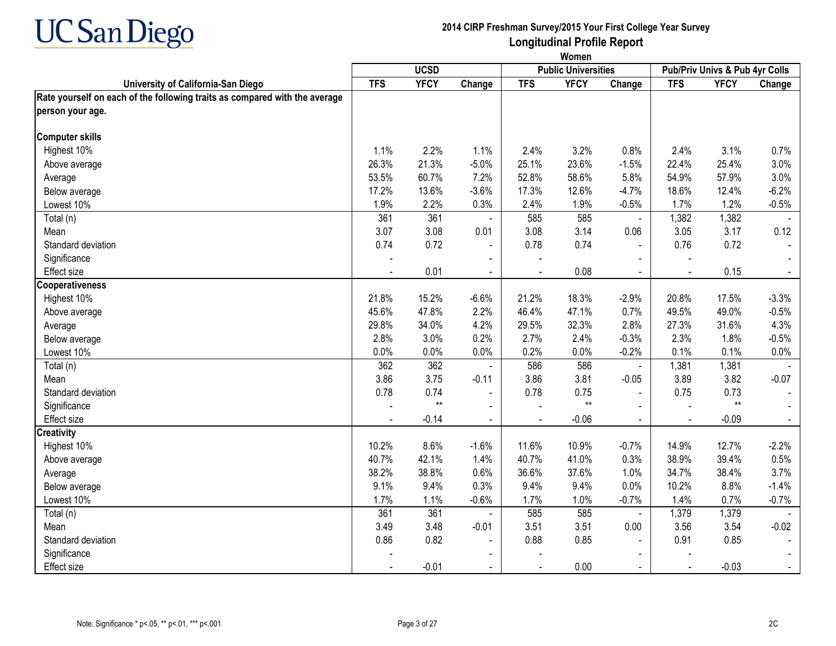

|                                                                            | Women      |                 |                |                |                            |                |                |                                |                |  |  |
|----------------------------------------------------------------------------|------------|-----------------|----------------|----------------|----------------------------|----------------|----------------|--------------------------------|----------------|--|--|
|                                                                            |            | <b>UCSD</b>     |                |                | <b>Public Universities</b> |                |                | Pub/Priv Univs & Pub 4yr Colls |                |  |  |
| University of California-San Diego                                         | <b>TFS</b> | <b>YFCY</b>     | Change         | <b>TFS</b>     | <b>YFCY</b>                | Change         | <b>TFS</b>     | <b>YFCY</b>                    | Change         |  |  |
| Rate yourself on each of the following traits as compared with the average |            |                 |                |                |                            |                |                |                                |                |  |  |
| person your age.                                                           |            |                 |                |                |                            |                |                |                                |                |  |  |
| <b>Computer skills</b>                                                     |            |                 |                |                |                            |                |                |                                |                |  |  |
| Highest 10%                                                                | 1.1%       | 2.2%            | 1.1%           | 2.4%           | 3.2%                       | 0.8%           | 2.4%           | 3.1%                           | 0.7%           |  |  |
| Above average                                                              | 26.3%      | 21.3%           | $-5.0%$        | 25.1%          | 23.6%                      | $-1.5%$        | 22.4%          | 25.4%                          | 3.0%           |  |  |
| Average                                                                    | 53.5%      | 60.7%           | 7.2%           | 52.8%          | 58.6%                      | 5.8%           | 54.9%          | 57.9%                          | 3.0%           |  |  |
| Below average                                                              | 17.2%      | 13.6%           | $-3.6%$        | 17.3%          | 12.6%                      | $-4.7%$        | 18.6%          | 12.4%                          | $-6.2%$        |  |  |
| Lowest 10%                                                                 | 1.9%       | 2.2%            | 0.3%           | 2.4%           | 1.9%                       | $-0.5%$        | 1.7%           | 1.2%                           | $-0.5%$        |  |  |
| Total (n)                                                                  | 361        | 361             |                | 585            | 585                        | $\blacksquare$ | 1,382          | 1,382                          |                |  |  |
| Mean                                                                       | 3.07       | 3.08            | 0.01           | 3.08           | 3.14                       | 0.06           | 3.05           | 3.17                           | 0.12           |  |  |
| Standard deviation                                                         | 0.74       | 0.72            | $\blacksquare$ | 0.78           | 0.74                       | $\overline{a}$ | 0.76           | 0.72                           |                |  |  |
| Significance                                                               |            |                 | $\sim$         |                |                            |                |                |                                |                |  |  |
| <b>Effect size</b>                                                         |            | 0.01            | $\blacksquare$ | $\sim$         | 0.08                       | $\blacksquare$ | $\blacksquare$ | 0.15                           | $\sim$         |  |  |
| Cooperativeness                                                            |            |                 |                |                |                            |                |                |                                |                |  |  |
| Highest 10%                                                                | 21.8%      | 15.2%           | $-6.6%$        | 21.2%          | 18.3%                      | $-2.9%$        | 20.8%          | 17.5%                          | $-3.3%$        |  |  |
| Above average                                                              | 45.6%      | 47.8%           | 2.2%           | 46.4%          | 47.1%                      | 0.7%           | 49.5%          | 49.0%                          | $-0.5%$        |  |  |
| Average                                                                    | 29.8%      | 34.0%           | 4.2%           | 29.5%          | 32.3%                      | 2.8%           | 27.3%          | 31.6%                          | 4.3%           |  |  |
| Below average                                                              | 2.8%       | 3.0%            | 0.2%           | 2.7%           | 2.4%                       | $-0.3%$        | 2.3%           | 1.8%                           | $-0.5%$        |  |  |
| Lowest 10%                                                                 | 0.0%       | 0.0%            | 0.0%           | 0.2%           | 0.0%                       | $-0.2%$        | 0.1%           | 0.1%                           | 0.0%           |  |  |
| Total (n)                                                                  | 362        | 362             |                | 586            | 586                        | $\blacksquare$ | 1,381          | 1,381                          |                |  |  |
| Mean                                                                       | 3.86       | 3.75            | $-0.11$        | 3.86           | 3.81                       | $-0.05$        | 3.89           | 3.82                           | $-0.07$        |  |  |
| Standard deviation                                                         | 0.78       | 0.74            |                | 0.78           | 0.75                       | $\sim$         | 0.75           | 0.73                           |                |  |  |
| Significance                                                               |            | $^{\star\star}$ |                |                | $\star\star$               |                |                | $**$                           |                |  |  |
| <b>Effect size</b>                                                         |            | $-0.14$         | $\mathbf{r}$   | $\overline{a}$ | $-0.06$                    | $\mathbf{r}$   | $\sim$         | $-0.09$                        | $\blacksquare$ |  |  |
| <b>Creativity</b>                                                          |            |                 |                |                |                            |                |                |                                |                |  |  |
| Highest 10%                                                                | 10.2%      | 8.6%            | $-1.6%$        | 11.6%          | 10.9%                      | $-0.7%$        | 14.9%          | 12.7%                          | $-2.2%$        |  |  |
| Above average                                                              | 40.7%      | 42.1%           | 1.4%           | 40.7%          | 41.0%                      | 0.3%           | 38.9%          | 39.4%                          | 0.5%           |  |  |
| Average                                                                    | 38.2%      | 38.8%           | 0.6%           | 36.6%          | 37.6%                      | 1.0%           | 34.7%          | 38.4%                          | 3.7%           |  |  |
| Below average                                                              | 9.1%       | 9.4%            | 0.3%           | 9.4%           | 9.4%                       | 0.0%           | 10.2%          | 8.8%                           | $-1.4%$        |  |  |
| Lowest 10%                                                                 | 1.7%       | 1.1%            | $-0.6%$        | 1.7%           | 1.0%                       | $-0.7%$        | 1.4%           | 0.7%                           | $-0.7%$        |  |  |
| Total (n)                                                                  | 361        | 361             |                | 585            | 585                        | $\blacksquare$ | 1,379          | 1,379                          |                |  |  |
| Mean                                                                       | 3.49       | 3.48            | $-0.01$        | 3.51           | 3.51                       | 0.00           | 3.56           | 3.54                           | $-0.02$        |  |  |
| Standard deviation                                                         | 0.86       | 0.82            | $\blacksquare$ | 0.88           | 0.85                       |                | 0.91           | 0.85                           |                |  |  |
| Significance                                                               |            |                 |                |                |                            |                |                |                                |                |  |  |
| Effect size                                                                |            | $-0.01$         |                |                | 0.00                       |                |                | $-0.03$                        |                |  |  |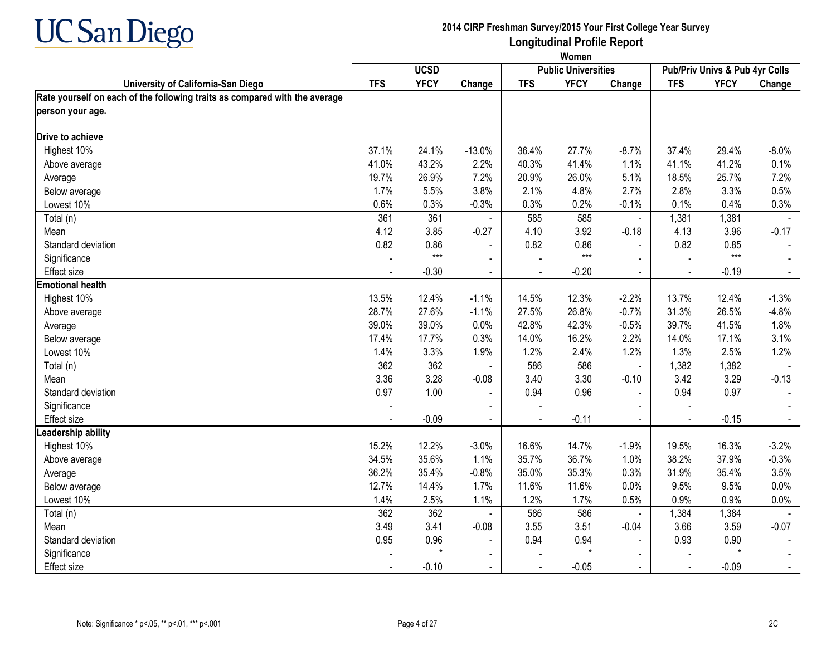

|                                                                            |            | Women       |                |            |                            |                |                |                                |                |  |
|----------------------------------------------------------------------------|------------|-------------|----------------|------------|----------------------------|----------------|----------------|--------------------------------|----------------|--|
|                                                                            |            | <b>UCSD</b> |                |            | <b>Public Universities</b> |                |                | Pub/Priv Univs & Pub 4yr Colls |                |  |
| University of California-San Diego                                         | <b>TFS</b> | <b>YFCY</b> | Change         | <b>TFS</b> | <b>YFCY</b>                | Change         | <b>TFS</b>     | <b>YFCY</b>                    | Change         |  |
| Rate yourself on each of the following traits as compared with the average |            |             |                |            |                            |                |                |                                |                |  |
| person your age.                                                           |            |             |                |            |                            |                |                |                                |                |  |
| Drive to achieve                                                           |            |             |                |            |                            |                |                |                                |                |  |
| Highest 10%                                                                | 37.1%      | 24.1%       | $-13.0%$       | 36.4%      | 27.7%                      | $-8.7%$        | 37.4%          | 29.4%                          | $-8.0\%$       |  |
| Above average                                                              | 41.0%      | 43.2%       | 2.2%           | 40.3%      | 41.4%                      | 1.1%           | 41.1%          | 41.2%                          | 0.1%           |  |
| Average                                                                    | 19.7%      | 26.9%       | 7.2%           | 20.9%      | 26.0%                      | 5.1%           | 18.5%          | 25.7%                          | 7.2%           |  |
| Below average                                                              | 1.7%       | 5.5%        | 3.8%           | 2.1%       | 4.8%                       | 2.7%           | 2.8%           | 3.3%                           | 0.5%           |  |
| Lowest 10%                                                                 | 0.6%       | 0.3%        | $-0.3%$        | 0.3%       | 0.2%                       | $-0.1%$        | 0.1%           | 0.4%                           | 0.3%           |  |
| Total (n)                                                                  | 361        | 361         |                | 585        | 585                        | $\blacksquare$ | 1,381          | 1,381                          |                |  |
| Mean                                                                       | 4.12       | 3.85        | $-0.27$        | 4.10       | 3.92                       | $-0.18$        | 4.13           | 3.96                           | $-0.17$        |  |
| Standard deviation                                                         | 0.82       | 0.86        | $\blacksquare$ | 0.82       | 0.86                       |                | 0.82           | 0.85                           |                |  |
| Significance                                                               |            | $***$       | $\blacksquare$ |            | $***$                      |                |                | $***$                          |                |  |
| <b>Effect size</b>                                                         |            | $-0.30$     | $\blacksquare$ | $\sim$     | $-0.20$                    | $\blacksquare$ | $\blacksquare$ | $-0.19$                        | $\blacksquare$ |  |
| <b>Emotional health</b>                                                    |            |             |                |            |                            |                |                |                                |                |  |
| Highest 10%                                                                | 13.5%      | 12.4%       | $-1.1%$        | 14.5%      | 12.3%                      | $-2.2%$        | 13.7%          | 12.4%                          | $-1.3%$        |  |
| Above average                                                              | 28.7%      | 27.6%       | $-1.1%$        | 27.5%      | 26.8%                      | $-0.7%$        | 31.3%          | 26.5%                          | $-4.8%$        |  |
| Average                                                                    | 39.0%      | 39.0%       | 0.0%           | 42.8%      | 42.3%                      | $-0.5%$        | 39.7%          | 41.5%                          | 1.8%           |  |
| Below average                                                              | 17.4%      | 17.7%       | 0.3%           | 14.0%      | 16.2%                      | 2.2%           | 14.0%          | 17.1%                          | 3.1%           |  |
| Lowest 10%                                                                 | 1.4%       | 3.3%        | 1.9%           | 1.2%       | 2.4%                       | 1.2%           | 1.3%           | 2.5%                           | 1.2%           |  |
| Total (n)                                                                  | 362        | 362         |                | 586        | 586                        | $\omega$       | 1,382          | 1,382                          |                |  |
| Mean                                                                       | 3.36       | 3.28        | $-0.08$        | 3.40       | 3.30                       | $-0.10$        | 3.42           | 3.29                           | $-0.13$        |  |
| Standard deviation                                                         | 0.97       | 1.00        |                | 0.94       | 0.96                       | $\blacksquare$ | 0.94           | 0.97                           |                |  |
| Significance                                                               |            |             | $\blacksquare$ |            |                            |                |                |                                |                |  |
| <b>Effect size</b>                                                         |            | $-0.09$     | $\mathbf{r}$   |            | $-0.11$                    | $\overline{a}$ |                | $-0.15$                        |                |  |
| eadership ability                                                          |            |             |                |            |                            |                |                |                                |                |  |
| Highest 10%                                                                | 15.2%      | 12.2%       | $-3.0%$        | 16.6%      | 14.7%                      | $-1.9%$        | 19.5%          | 16.3%                          | $-3.2%$        |  |
| Above average                                                              | 34.5%      | 35.6%       | 1.1%           | 35.7%      | 36.7%                      | 1.0%           | 38.2%          | 37.9%                          | $-0.3%$        |  |
| Average                                                                    | 36.2%      | 35.4%       | $-0.8%$        | 35.0%      | 35.3%                      | 0.3%           | 31.9%          | 35.4%                          | 3.5%           |  |
| Below average                                                              | 12.7%      | 14.4%       | 1.7%           | 11.6%      | 11.6%                      | 0.0%           | 9.5%           | 9.5%                           | 0.0%           |  |
| Lowest 10%                                                                 | 1.4%       | 2.5%        | 1.1%           | 1.2%       | 1.7%                       | 0.5%           | 0.9%           | 0.9%                           | 0.0%           |  |
| Total (n)                                                                  | 362        | 362         |                | 586        | 586                        | $\blacksquare$ | 1,384          | 1,384                          |                |  |
| Mean                                                                       | 3.49       | 3.41        | $-0.08$        | 3.55       | 3.51                       | $-0.04$        | 3.66           | 3.59                           | $-0.07$        |  |
| Standard deviation                                                         | 0.95       | 0.96        | $\blacksquare$ | 0.94       | 0.94                       |                | 0.93           | 0.90                           |                |  |
| Significance                                                               |            |             |                |            | $\star$                    |                |                | $\star$                        |                |  |
| Effect size                                                                |            | $-0.10$     | $\blacksquare$ |            | $-0.05$                    |                |                | $-0.09$                        |                |  |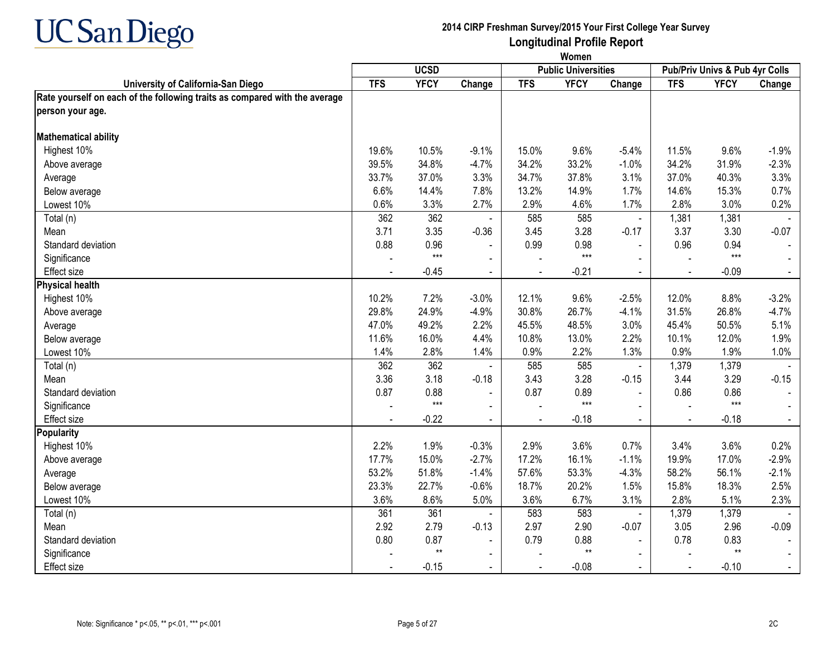

|                                                                            | Women      |             |                |            |                            |                |                |                                |                |
|----------------------------------------------------------------------------|------------|-------------|----------------|------------|----------------------------|----------------|----------------|--------------------------------|----------------|
|                                                                            |            | <b>UCSD</b> |                |            | <b>Public Universities</b> |                |                | Pub/Priv Univs & Pub 4yr Colls |                |
| University of California-San Diego                                         | <b>TFS</b> | <b>YFCY</b> | Change         | <b>TFS</b> | <b>YFCY</b>                | Change         | <b>TFS</b>     | <b>YFCY</b>                    | Change         |
| Rate yourself on each of the following traits as compared with the average |            |             |                |            |                            |                |                |                                |                |
| person your age.                                                           |            |             |                |            |                            |                |                |                                |                |
| <b>Mathematical ability</b>                                                |            |             |                |            |                            |                |                |                                |                |
| Highest 10%                                                                | 19.6%      | 10.5%       | $-9.1%$        | 15.0%      | 9.6%                       | $-5.4%$        | 11.5%          | 9.6%                           | $-1.9%$        |
| Above average                                                              | 39.5%      | 34.8%       | $-4.7%$        | 34.2%      | 33.2%                      | $-1.0%$        | 34.2%          | 31.9%                          | $-2.3%$        |
| Average                                                                    | 33.7%      | 37.0%       | 3.3%           | 34.7%      | 37.8%                      | 3.1%           | 37.0%          | 40.3%                          | 3.3%           |
| Below average                                                              | 6.6%       | 14.4%       | 7.8%           | 13.2%      | 14.9%                      | 1.7%           | 14.6%          | 15.3%                          | 0.7%           |
| Lowest 10%                                                                 | 0.6%       | 3.3%        | 2.7%           | 2.9%       | 4.6%                       | 1.7%           | 2.8%           | 3.0%                           | 0.2%           |
| Total (n)                                                                  | 362        | 362         |                | 585        | 585                        | $\blacksquare$ | 1,381          | 1,381                          |                |
| Mean                                                                       | 3.71       | 3.35        | $-0.36$        | 3.45       | 3.28                       | $-0.17$        | 3.37           | 3.30                           | $-0.07$        |
| Standard deviation                                                         | 0.88       | 0.96        | $\blacksquare$ | 0.99       | 0.98                       | $\mathbf{r}$   | 0.96           | 0.94                           |                |
| Significance                                                               |            | $***$       | $\blacksquare$ |            | $***$                      |                |                | $***$                          |                |
| <b>Effect size</b>                                                         |            | $-0.45$     | $\blacksquare$ | $\sim$     | $-0.21$                    | $\blacksquare$ | $\blacksquare$ | $-0.09$                        | $\blacksquare$ |
| <b>Physical health</b>                                                     |            |             |                |            |                            |                |                |                                |                |
| Highest 10%                                                                | 10.2%      | 7.2%        | $-3.0%$        | 12.1%      | 9.6%                       | $-2.5%$        | 12.0%          | 8.8%                           | $-3.2%$        |
| Above average                                                              | 29.8%      | 24.9%       | $-4.9%$        | 30.8%      | 26.7%                      | $-4.1%$        | 31.5%          | 26.8%                          | $-4.7%$        |
| Average                                                                    | 47.0%      | 49.2%       | 2.2%           | 45.5%      | 48.5%                      | 3.0%           | 45.4%          | 50.5%                          | 5.1%           |
| Below average                                                              | 11.6%      | 16.0%       | 4.4%           | 10.8%      | 13.0%                      | 2.2%           | 10.1%          | 12.0%                          | 1.9%           |
| Lowest 10%                                                                 | 1.4%       | 2.8%        | 1.4%           | 0.9%       | 2.2%                       | 1.3%           | 0.9%           | 1.9%                           | 1.0%           |
| Total (n)                                                                  | 362        | 362         |                | 585        | 585                        | $\blacksquare$ | 1,379          | 1,379                          |                |
| Mean                                                                       | 3.36       | 3.18        | $-0.18$        | 3.43       | 3.28                       | $-0.15$        | 3.44           | 3.29                           | $-0.15$        |
| Standard deviation                                                         | 0.87       | 0.88        |                | 0.87       | 0.89                       | $\blacksquare$ | 0.86           | 0.86                           |                |
| Significance                                                               |            | $***$       | $\sim$         |            | $***$                      | $\blacksquare$ |                | $***$                          |                |
| <b>Effect size</b>                                                         |            | $-0.22$     | $\mathbf{r}$   |            | $-0.18$                    | $\blacksquare$ |                | $-0.18$                        |                |
| <b>Popularity</b>                                                          |            |             |                |            |                            |                |                |                                |                |
| Highest 10%                                                                | 2.2%       | 1.9%        | $-0.3%$        | 2.9%       | 3.6%                       | 0.7%           | 3.4%           | 3.6%                           | 0.2%           |
| Above average                                                              | 17.7%      | 15.0%       | $-2.7%$        | 17.2%      | 16.1%                      | $-1.1%$        | 19.9%          | 17.0%                          | $-2.9%$        |
| Average                                                                    | 53.2%      | 51.8%       | $-1.4%$        | 57.6%      | 53.3%                      | $-4.3%$        | 58.2%          | 56.1%                          | $-2.1%$        |
| Below average                                                              | 23.3%      | 22.7%       | $-0.6%$        | 18.7%      | 20.2%                      | 1.5%           | 15.8%          | 18.3%                          | 2.5%           |
| Lowest 10%                                                                 | 3.6%       | 8.6%        | 5.0%           | 3.6%       | 6.7%                       | 3.1%           | 2.8%           | 5.1%                           | 2.3%           |
| Total (n)                                                                  | 361        | 361         |                | 583        | 583                        | $\blacksquare$ | 1,379          | 1,379                          |                |
| Mean                                                                       | 2.92       | 2.79        | $-0.13$        | 2.97       | 2.90                       | $-0.07$        | 3.05           | 2.96                           | $-0.09$        |
| Standard deviation                                                         | 0.80       | 0.87        | $\blacksquare$ | 0.79       | 0.88                       |                | 0.78           | 0.83                           |                |
| Significance                                                               |            | $**$        |                |            | $**$                       |                |                | $**$                           |                |
| Effect size                                                                |            | $-0.15$     | $\blacksquare$ |            | $-0.08$                    |                |                | $-0.10$                        |                |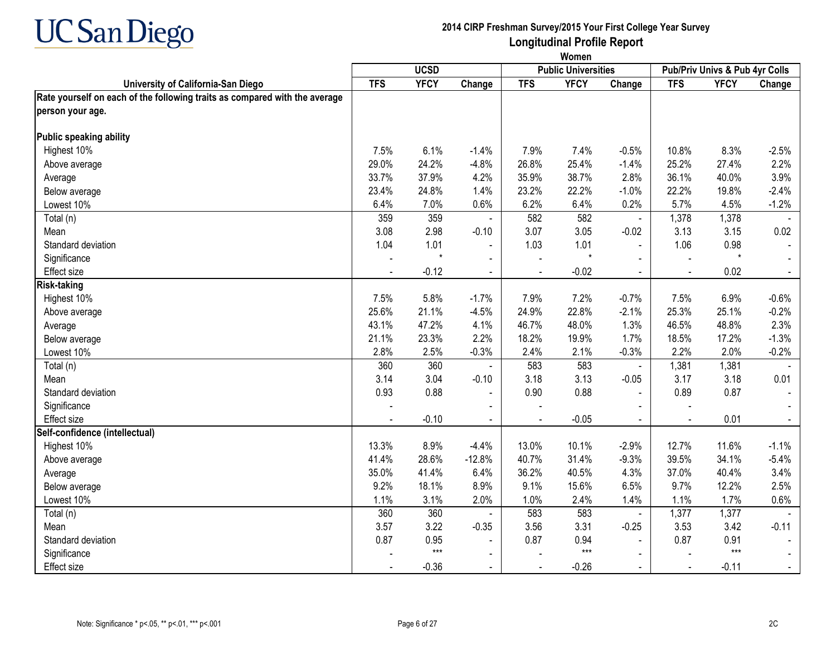

|                                                                            | Women          |             |                |            |                            |                             |                |                                |                |  |  |
|----------------------------------------------------------------------------|----------------|-------------|----------------|------------|----------------------------|-----------------------------|----------------|--------------------------------|----------------|--|--|
|                                                                            |                | <b>UCSD</b> |                |            | <b>Public Universities</b> |                             |                | Pub/Priv Univs & Pub 4yr Colls |                |  |  |
| University of California-San Diego                                         | <b>TFS</b>     | <b>YFCY</b> | Change         | <b>TFS</b> | <b>YFCY</b>                | Change                      | <b>TFS</b>     | <b>YFCY</b>                    | Change         |  |  |
| Rate yourself on each of the following traits as compared with the average |                |             |                |            |                            |                             |                |                                |                |  |  |
| person your age.                                                           |                |             |                |            |                            |                             |                |                                |                |  |  |
| Public speaking ability                                                    |                |             |                |            |                            |                             |                |                                |                |  |  |
| Highest 10%                                                                | 7.5%           | 6.1%        | $-1.4%$        | 7.9%       | 7.4%                       | $-0.5%$                     | 10.8%          | 8.3%                           | $-2.5%$        |  |  |
| Above average                                                              | 29.0%          | 24.2%       | $-4.8%$        | 26.8%      | 25.4%                      | $-1.4%$                     | 25.2%          | 27.4%                          | 2.2%           |  |  |
| Average                                                                    | 33.7%          | 37.9%       | 4.2%           | 35.9%      | 38.7%                      | 2.8%                        | 36.1%          | 40.0%                          | 3.9%           |  |  |
| Below average                                                              | 23.4%          | 24.8%       | 1.4%           | 23.2%      | 22.2%                      | $-1.0%$                     | 22.2%          | 19.8%                          | $-2.4%$        |  |  |
| Lowest 10%                                                                 | 6.4%           | 7.0%        | 0.6%           | 6.2%       | 6.4%                       | 0.2%                        | 5.7%           | 4.5%                           | $-1.2%$        |  |  |
| Total (n)                                                                  | 359            | 359         |                | 582        | 582                        | $\blacksquare$              | 1,378          | 1,378                          |                |  |  |
| Mean                                                                       | 3.08           | 2.98        | $-0.10$        | 3.07       | 3.05                       | $-0.02$                     | 3.13           | 3.15                           | 0.02           |  |  |
| Standard deviation                                                         | 1.04           | 1.01        |                | 1.03       | 1.01                       | $\blacksquare$              | 1.06           | 0.98                           |                |  |  |
| Significance                                                               |                |             | $\sim$         |            | $\star$                    | $\sim$                      | $\blacksquare$ | $\star$                        |                |  |  |
| <b>Effect size</b>                                                         |                | $-0.12$     | $\blacksquare$ |            | $-0.02$                    | $\sim$                      | $\blacksquare$ | 0.02                           | $\sim$         |  |  |
| <b>Risk-taking</b>                                                         |                |             |                |            |                            |                             |                |                                |                |  |  |
| Highest 10%                                                                | 7.5%           | 5.8%        | $-1.7%$        | 7.9%       | 7.2%                       | $-0.7%$                     | 7.5%           | 6.9%                           | $-0.6%$        |  |  |
| Above average                                                              | 25.6%          | 21.1%       | $-4.5%$        | 24.9%      | 22.8%                      | $-2.1%$                     | 25.3%          | 25.1%                          | $-0.2%$        |  |  |
| Average                                                                    | 43.1%          | 47.2%       | 4.1%           | 46.7%      | 48.0%                      | 1.3%                        | 46.5%          | 48.8%                          | 2.3%           |  |  |
| Below average                                                              | 21.1%          | 23.3%       | 2.2%           | 18.2%      | 19.9%                      | 1.7%                        | 18.5%          | 17.2%                          | $-1.3%$        |  |  |
| Lowest 10%                                                                 | 2.8%           | 2.5%        | $-0.3%$        | 2.4%       | 2.1%                       | $-0.3%$                     | 2.2%           | 2.0%                           | $-0.2%$        |  |  |
| Total (n)                                                                  | 360            | 360         |                | 583        | 583                        | $\blacksquare$              | 1,381          | 1,381                          |                |  |  |
| Mean                                                                       | 3.14           | 3.04        | $-0.10$        | 3.18       | 3.13                       | $-0.05$                     | 3.17           | 3.18                           | 0.01           |  |  |
| Standard deviation                                                         | 0.93           | 0.88        |                | 0.90       | 0.88                       | $\blacksquare$              | 0.89           | 0.87                           |                |  |  |
| Significance                                                               |                |             |                |            |                            |                             |                |                                |                |  |  |
| <b>Effect size</b>                                                         | $\overline{a}$ | $-0.10$     | $\mathbf{r}$   |            | $-0.05$                    | $\mathcal{L}^{\mathcal{A}}$ | $\sim$         | 0.01                           | $\blacksquare$ |  |  |
| Self-confidence (intellectual)                                             |                |             |                |            |                            |                             |                |                                |                |  |  |
| Highest 10%                                                                | 13.3%          | 8.9%        | $-4.4%$        | 13.0%      | 10.1%                      | $-2.9%$                     | 12.7%          | 11.6%                          | $-1.1%$        |  |  |
| Above average                                                              | 41.4%          | 28.6%       | $-12.8%$       | 40.7%      | 31.4%                      | $-9.3%$                     | 39.5%          | 34.1%                          | $-5.4%$        |  |  |
| Average                                                                    | 35.0%          | 41.4%       | 6.4%           | 36.2%      | 40.5%                      | 4.3%                        | 37.0%          | 40.4%                          | 3.4%           |  |  |
| Below average                                                              | 9.2%           | 18.1%       | 8.9%           | 9.1%       | 15.6%                      | 6.5%                        | 9.7%           | 12.2%                          | 2.5%           |  |  |
| Lowest 10%                                                                 | 1.1%           | 3.1%        | 2.0%           | 1.0%       | 2.4%                       | 1.4%                        | 1.1%           | 1.7%                           | 0.6%           |  |  |
| Total (n)                                                                  | 360            | 360         |                | 583        | 583                        | $\blacksquare$              | 1,377          | 1,377                          |                |  |  |
| Mean                                                                       | 3.57           | 3.22        | $-0.35$        | 3.56       | 3.31                       | $-0.25$                     | 3.53           | 3.42                           | $-0.11$        |  |  |
| Standard deviation                                                         | 0.87           | 0.95        | $\blacksquare$ | 0.87       | 0.94                       |                             | 0.87           | 0.91                           |                |  |  |
| Significance                                                               |                | $***$       |                |            | $***$                      |                             |                | $***$                          |                |  |  |
| <b>Effect size</b>                                                         |                | $-0.36$     |                |            | $-0.26$                    |                             |                | $-0.11$                        |                |  |  |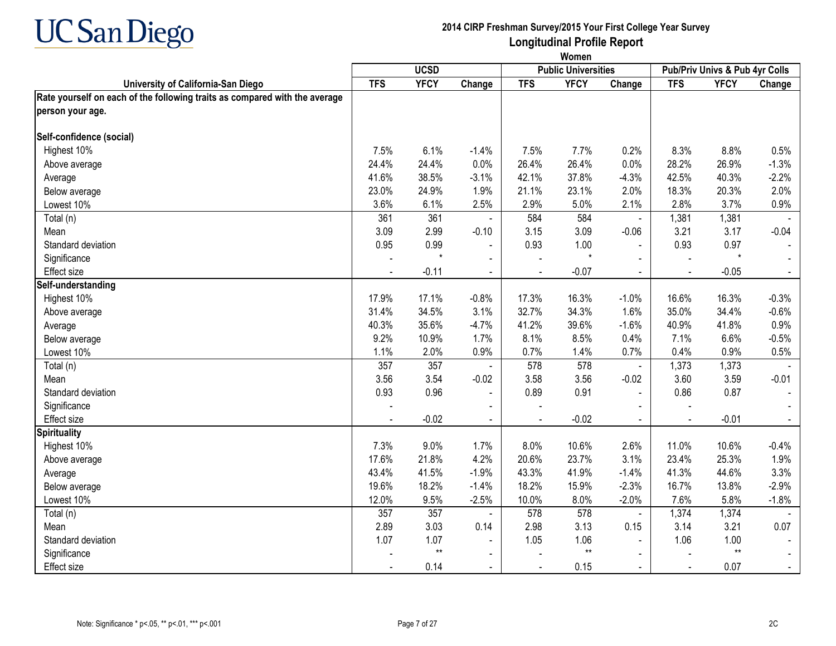

|                                                                            |                | <b>UCSD</b> |                |                | <b>Public Universities</b> |                |                | Pub/Priv Univs & Pub 4yr Colls |                |
|----------------------------------------------------------------------------|----------------|-------------|----------------|----------------|----------------------------|----------------|----------------|--------------------------------|----------------|
| University of California-San Diego                                         | <b>TFS</b>     | <b>YFCY</b> | Change         | <b>TFS</b>     | <b>YFCY</b>                | Change         | <b>TFS</b>     | <b>YFCY</b>                    | Change         |
| Rate yourself on each of the following traits as compared with the average |                |             |                |                |                            |                |                |                                |                |
| person your age.                                                           |                |             |                |                |                            |                |                |                                |                |
| Self-confidence (social)                                                   |                |             |                |                |                            |                |                |                                |                |
| Highest 10%                                                                | 7.5%           | 6.1%        | $-1.4%$        | 7.5%           | 7.7%                       | 0.2%           | 8.3%           | 8.8%                           | 0.5%           |
| Above average                                                              | 24.4%          | 24.4%       | 0.0%           | 26.4%          | 26.4%                      | 0.0%           | 28.2%          | 26.9%                          | $-1.3%$        |
| Average                                                                    | 41.6%          | 38.5%       | $-3.1%$        | 42.1%          | 37.8%                      | $-4.3%$        | 42.5%          | 40.3%                          | $-2.2%$        |
| Below average                                                              | 23.0%          | 24.9%       | 1.9%           | 21.1%          | 23.1%                      | 2.0%           | 18.3%          | 20.3%                          | 2.0%           |
| Lowest 10%                                                                 | 3.6%           | 6.1%        | 2.5%           | 2.9%           | 5.0%                       | 2.1%           | 2.8%           | 3.7%                           | 0.9%           |
| Total (n)                                                                  | 361            | 361         |                | 584            | 584                        | $\blacksquare$ | 1,381          | 1,381                          |                |
| Mean                                                                       | 3.09           | 2.99        | $-0.10$        | 3.15           | 3.09                       | $-0.06$        | 3.21           | 3.17                           | $-0.04$        |
| Standard deviation                                                         | 0.95           | 0.99        | $\blacksquare$ | 0.93           | 1.00                       | $\overline{a}$ | 0.93           | 0.97                           |                |
| Significance                                                               |                |             | $\sim$         |                | $\star$                    | $\overline{a}$ |                | $\star$                        |                |
| <b>Effect size</b>                                                         |                | $-0.11$     | $\sim$         | $\blacksquare$ | $-0.07$                    | $\blacksquare$ | $\blacksquare$ | $-0.05$                        | $\sim$         |
| Self-understanding                                                         |                |             |                |                |                            |                |                |                                |                |
| Highest 10%                                                                | 17.9%          | 17.1%       | $-0.8%$        | 17.3%          | 16.3%                      | $-1.0%$        | 16.6%          | 16.3%                          | $-0.3%$        |
| Above average                                                              | 31.4%          | 34.5%       | 3.1%           | 32.7%          | 34.3%                      | 1.6%           | 35.0%          | 34.4%                          | $-0.6%$        |
| Average                                                                    | 40.3%          | 35.6%       | $-4.7%$        | 41.2%          | 39.6%                      | $-1.6%$        | 40.9%          | 41.8%                          | 0.9%           |
| Below average                                                              | 9.2%           | 10.9%       | 1.7%           | 8.1%           | 8.5%                       | 0.4%           | 7.1%           | 6.6%                           | $-0.5%$        |
| Lowest 10%                                                                 | 1.1%           | 2.0%        | 0.9%           | 0.7%           | 1.4%                       | 0.7%           | 0.4%           | 0.9%                           | 0.5%           |
| Total (n)                                                                  | 357            | 357         |                | 578            | 578                        | $\blacksquare$ | 1,373          | 1,373                          |                |
| Mean                                                                       | 3.56           | 3.54        | $-0.02$        | 3.58           | 3.56                       | $-0.02$        | 3.60           | 3.59                           | $-0.01$        |
| Standard deviation                                                         | 0.93           | 0.96        | $\blacksquare$ | 0.89           | 0.91                       | $\blacksquare$ | 0.86           | 0.87                           |                |
| Significance                                                               |                |             |                |                |                            |                |                |                                |                |
| Effect size                                                                | $\overline{a}$ | $-0.02$     | $\mathbf{r}$   | $\overline{a}$ | $-0.02$                    | $\mathbf{r}$   | $\sim$         | $-0.01$                        | $\blacksquare$ |
| <b>Spirituality</b>                                                        |                |             |                |                |                            |                |                |                                |                |
| Highest 10%                                                                | 7.3%           | 9.0%        | 1.7%           | 8.0%           | 10.6%                      | 2.6%           | 11.0%          | 10.6%                          | $-0.4%$        |
| Above average                                                              | 17.6%          | 21.8%       | 4.2%           | 20.6%          | 23.7%                      | 3.1%           | 23.4%          | 25.3%                          | 1.9%           |
| Average                                                                    | 43.4%          | 41.5%       | $-1.9%$        | 43.3%          | 41.9%                      | $-1.4%$        | 41.3%          | 44.6%                          | 3.3%           |
| Below average                                                              | 19.6%          | 18.2%       | $-1.4%$        | 18.2%          | 15.9%                      | $-2.3%$        | 16.7%          | 13.8%                          | $-2.9%$        |
| Lowest 10%                                                                 | 12.0%          | 9.5%        | $-2.5%$        | 10.0%          | 8.0%                       | $-2.0%$        | 7.6%           | 5.8%                           | $-1.8%$        |
| Total (n)                                                                  | 357            | 357         |                | 578            | 578                        | $\blacksquare$ | 1,374          | 1,374                          |                |
| Mean                                                                       | 2.89           | 3.03        | 0.14           | 2.98           | 3.13                       | 0.15           | 3.14           | 3.21                           | 0.07           |
| Standard deviation                                                         | 1.07           | 1.07        | $\blacksquare$ | 1.05           | 1.06                       |                | 1.06           | 1.00                           |                |
| Significance                                                               |                | $**$        |                |                | $**$                       |                |                | $**$                           |                |
| Effect size                                                                |                | 0.14        | $\blacksquare$ |                | 0.15                       |                |                | 0.07                           |                |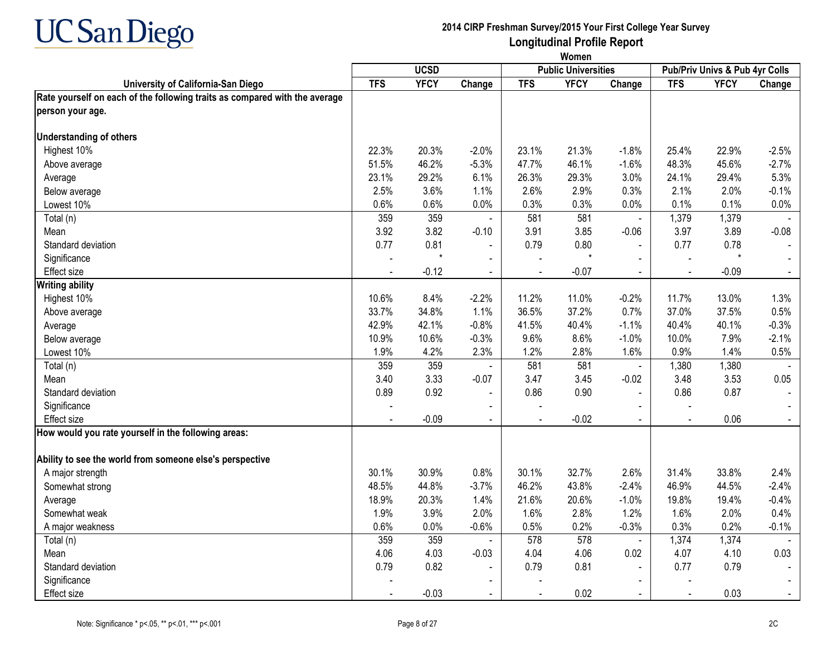

|                                                                            | Women      |             |                |            |                            |                |            |                                |         |
|----------------------------------------------------------------------------|------------|-------------|----------------|------------|----------------------------|----------------|------------|--------------------------------|---------|
|                                                                            |            | <b>UCSD</b> |                |            | <b>Public Universities</b> |                |            | Pub/Priv Univs & Pub 4yr Colls |         |
| University of California-San Diego                                         | <b>TFS</b> | <b>YFCY</b> | Change         | <b>TFS</b> | <b>YFCY</b>                | Change         | <b>TFS</b> | <b>YFCY</b>                    | Change  |
| Rate yourself on each of the following traits as compared with the average |            |             |                |            |                            |                |            |                                |         |
| person your age.                                                           |            |             |                |            |                            |                |            |                                |         |
| <b>Understanding of others</b>                                             |            |             |                |            |                            |                |            |                                |         |
| Highest 10%                                                                | 22.3%      | 20.3%       | $-2.0%$        | 23.1%      | 21.3%                      | $-1.8%$        | 25.4%      | 22.9%                          | $-2.5%$ |
| Above average                                                              | 51.5%      | 46.2%       | $-5.3%$        | 47.7%      | 46.1%                      | $-1.6%$        | 48.3%      | 45.6%                          | $-2.7%$ |
| Average                                                                    | 23.1%      | 29.2%       | 6.1%           | 26.3%      | 29.3%                      | 3.0%           | 24.1%      | 29.4%                          | 5.3%    |
| Below average                                                              | 2.5%       | 3.6%        | 1.1%           | 2.6%       | 2.9%                       | 0.3%           | 2.1%       | 2.0%                           | $-0.1%$ |
| Lowest 10%                                                                 | 0.6%       | 0.6%        | 0.0%           | 0.3%       | 0.3%                       | 0.0%           | 0.1%       | 0.1%                           | $0.0\%$ |
| Total (n)                                                                  | 359        | 359         |                | 581        | 581                        | $\blacksquare$ | 1,379      | 1,379                          |         |
| Mean                                                                       | 3.92       | 3.82        | $-0.10$        | 3.91       | 3.85                       | $-0.06$        | 3.97       | 3.89                           | $-0.08$ |
| Standard deviation                                                         | 0.77       | 0.81        | $\blacksquare$ | 0.79       | 0.80                       | $\blacksquare$ | 0.77       | 0.78                           |         |
| Significance                                                               |            | $\star$     |                |            | $\star$                    | $\blacksquare$ |            | $^\star$                       |         |
| Effect size                                                                |            | $-0.12$     |                |            | $-0.07$                    |                |            | $-0.09$                        |         |
| <b>Writing ability</b>                                                     |            |             |                |            |                            |                |            |                                |         |
| Highest 10%                                                                | 10.6%      | 8.4%        | $-2.2%$        | 11.2%      | 11.0%                      | $-0.2%$        | 11.7%      | 13.0%                          | 1.3%    |
| Above average                                                              | 33.7%      | 34.8%       | 1.1%           | 36.5%      | 37.2%                      | 0.7%           | 37.0%      | 37.5%                          | 0.5%    |
| Average                                                                    | 42.9%      | 42.1%       | $-0.8%$        | 41.5%      | 40.4%                      | $-1.1%$        | 40.4%      | 40.1%                          | $-0.3%$ |
| Below average                                                              | 10.9%      | 10.6%       | $-0.3%$        | 9.6%       | 8.6%                       | $-1.0%$        | 10.0%      | 7.9%                           | $-2.1%$ |
| Lowest 10%                                                                 | 1.9%       | 4.2%        | 2.3%           | 1.2%       | 2.8%                       | 1.6%           | 0.9%       | 1.4%                           | 0.5%    |
| Total (n)                                                                  | 359        | 359         |                | 581        | 581                        | $\blacksquare$ | 1,380      | 1,380                          |         |
| Mean                                                                       | 3.40       | 3.33        | $-0.07$        | 3.47       | 3.45                       | $-0.02$        | 3.48       | 3.53                           | 0.05    |
| Standard deviation                                                         | 0.89       | 0.92        | $\blacksquare$ | 0.86       | 0.90                       | $\overline{a}$ | 0.86       | 0.87                           |         |
| Significance                                                               |            |             | $\blacksquare$ |            |                            |                |            |                                |         |
| Effect size                                                                |            | $-0.09$     |                |            | $-0.02$                    |                |            | 0.06                           |         |
| How would you rate yourself in the following areas:                        |            |             |                |            |                            |                |            |                                |         |
| Ability to see the world from someone else's perspective                   |            |             |                |            |                            |                |            |                                |         |
| A major strength                                                           | 30.1%      | 30.9%       | 0.8%           | 30.1%      | 32.7%                      | 2.6%           | 31.4%      | 33.8%                          | 2.4%    |
| Somewhat strong                                                            | 48.5%      | 44.8%       | $-3.7%$        | 46.2%      | 43.8%                      | $-2.4%$        | 46.9%      | 44.5%                          | $-2.4%$ |
| Average                                                                    | 18.9%      | 20.3%       | 1.4%           | 21.6%      | 20.6%                      | $-1.0%$        | 19.8%      | 19.4%                          | $-0.4%$ |
| Somewhat weak                                                              | 1.9%       | 3.9%        | 2.0%           | 1.6%       | 2.8%                       | 1.2%           | 1.6%       | 2.0%                           | 0.4%    |
| A major weakness                                                           | 0.6%       | 0.0%        | $-0.6%$        | 0.5%       | 0.2%                       | $-0.3%$        | 0.3%       | 0.2%                           | $-0.1%$ |
| Total (n)                                                                  | 359        | 359         |                | 578        | 578                        | $\blacksquare$ | 1,374      | 1,374                          |         |
| Mean                                                                       | 4.06       | 4.03        | $-0.03$        | 4.04       | 4.06                       | 0.02           | 4.07       | 4.10                           | 0.03    |
| Standard deviation                                                         | 0.79       | 0.82        | $\blacksquare$ | 0.79       | 0.81                       |                | 0.77       | 0.79                           |         |
| Significance                                                               |            |             |                |            |                            | $\sim$         |            |                                |         |
| Effect size                                                                |            | $-0.03$     | $\blacksquare$ |            | 0.02                       | $\blacksquare$ |            | 0.03                           |         |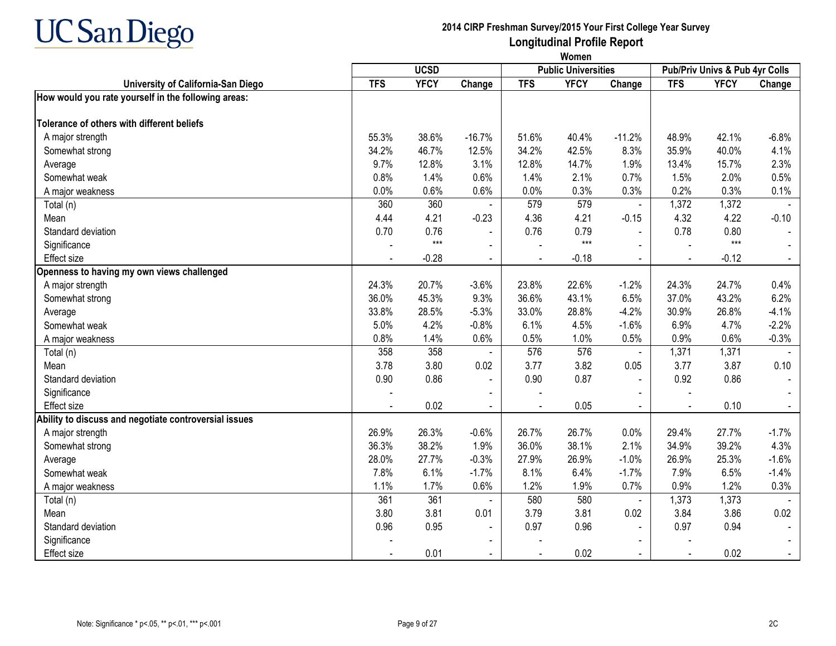

|                                                       |            | Women       |                |                |                            |                |                                |             |         |  |  |  |
|-------------------------------------------------------|------------|-------------|----------------|----------------|----------------------------|----------------|--------------------------------|-------------|---------|--|--|--|
|                                                       |            | <b>UCSD</b> |                |                | <b>Public Universities</b> |                | Pub/Priv Univs & Pub 4yr Colls |             |         |  |  |  |
| University of California-San Diego                    | <b>TFS</b> | <b>YFCY</b> | Change         | <b>TFS</b>     | <b>YFCY</b>                | Change         | <b>TFS</b>                     | <b>YFCY</b> | Change  |  |  |  |
| How would you rate yourself in the following areas:   |            |             |                |                |                            |                |                                |             |         |  |  |  |
| Tolerance of others with different beliefs            |            |             |                |                |                            |                |                                |             |         |  |  |  |
| A major strength                                      | 55.3%      | 38.6%       | $-16.7%$       | 51.6%          | 40.4%                      | $-11.2%$       | 48.9%                          | 42.1%       | $-6.8%$ |  |  |  |
| Somewhat strong                                       | 34.2%      | 46.7%       | 12.5%          | 34.2%          | 42.5%                      | 8.3%           | 35.9%                          | 40.0%       | 4.1%    |  |  |  |
| Average                                               | 9.7%       | 12.8%       | 3.1%           | 12.8%          | 14.7%                      | 1.9%           | 13.4%                          | 15.7%       | 2.3%    |  |  |  |
| Somewhat weak                                         | 0.8%       | 1.4%        | 0.6%           | 1.4%           | 2.1%                       | 0.7%           | 1.5%                           | 2.0%        | 0.5%    |  |  |  |
| A major weakness                                      | 0.0%       | 0.6%        | 0.6%           | 0.0%           | 0.3%                       | 0.3%           | 0.2%                           | 0.3%        | 0.1%    |  |  |  |
| Total (n)                                             | 360        | 360         |                | 579            | 579                        | $\blacksquare$ | 1,372                          | 1,372       |         |  |  |  |
| Mean                                                  | 4.44       | 4.21        | $-0.23$        | 4.36           | 4.21                       | $-0.15$        | 4.32                           | 4.22        | $-0.10$ |  |  |  |
| Standard deviation                                    | 0.70       | 0.76        |                | 0.76           | 0.79                       | $\blacksquare$ | 0.78                           | 0.80        |         |  |  |  |
| Significance                                          |            | $***$       | $\blacksquare$ |                | $***$                      |                |                                | $***$       | $\sim$  |  |  |  |
| Effect size                                           |            | $-0.28$     | $\mathbf{r}$   | $\overline{a}$ | $-0.18$                    | $\omega$       | $\sim$                         | $-0.12$     | $\sim$  |  |  |  |
| Openness to having my own views challenged            |            |             |                |                |                            |                |                                |             |         |  |  |  |
| A major strength                                      | 24.3%      | 20.7%       | $-3.6%$        | 23.8%          | 22.6%                      | $-1.2%$        | 24.3%                          | 24.7%       | 0.4%    |  |  |  |
| Somewhat strong                                       | 36.0%      | 45.3%       | 9.3%           | 36.6%          | 43.1%                      | 6.5%           | 37.0%                          | 43.2%       | 6.2%    |  |  |  |
| Average                                               | 33.8%      | 28.5%       | $-5.3%$        | 33.0%          | 28.8%                      | $-4.2%$        | 30.9%                          | 26.8%       | $-4.1%$ |  |  |  |
| Somewhat weak                                         | 5.0%       | 4.2%        | $-0.8%$        | 6.1%           | 4.5%                       | $-1.6%$        | 6.9%                           | 4.7%        | $-2.2%$ |  |  |  |
| A major weakness                                      | 0.8%       | 1.4%        | 0.6%           | 0.5%           | 1.0%                       | 0.5%           | 0.9%                           | 0.6%        | $-0.3%$ |  |  |  |
| Total (n)                                             | 358        | 358         |                | 576            | 576                        | $\blacksquare$ | 1,371                          | 1,371       |         |  |  |  |
| Mean                                                  | 3.78       | 3.80        | 0.02           | 3.77           | 3.82                       | 0.05           | 3.77                           | 3.87        | 0.10    |  |  |  |
| Standard deviation                                    | 0.90       | 0.86        | $\blacksquare$ | 0.90           | 0.87                       | $\blacksquare$ | 0.92                           | 0.86        |         |  |  |  |
| Significance                                          |            |             |                |                |                            |                |                                |             |         |  |  |  |
| Effect size                                           |            | 0.02        |                |                | 0.05                       |                |                                | 0.10        |         |  |  |  |
| Ability to discuss and negotiate controversial issues |            |             |                |                |                            |                |                                |             |         |  |  |  |
| A major strength                                      | 26.9%      | 26.3%       | $-0.6%$        | 26.7%          | 26.7%                      | 0.0%           | 29.4%                          | 27.7%       | $-1.7%$ |  |  |  |
| Somewhat strong                                       | 36.3%      | 38.2%       | 1.9%           | 36.0%          | 38.1%                      | 2.1%           | 34.9%                          | 39.2%       | 4.3%    |  |  |  |
| Average                                               | 28.0%      | 27.7%       | $-0.3%$        | 27.9%          | 26.9%                      | $-1.0%$        | 26.9%                          | 25.3%       | $-1.6%$ |  |  |  |
| Somewhat weak                                         | 7.8%       | 6.1%        | $-1.7%$        | 8.1%           | 6.4%                       | $-1.7%$        | 7.9%                           | 6.5%        | $-1.4%$ |  |  |  |
| A major weakness                                      | 1.1%       | 1.7%        | 0.6%           | 1.2%           | 1.9%                       | 0.7%           | 0.9%                           | 1.2%        | 0.3%    |  |  |  |
| Total (n)                                             | 361        | 361         |                | 580            | 580                        | $\blacksquare$ | 1,373                          | 1,373       |         |  |  |  |
| Mean                                                  | 3.80       | 3.81        | 0.01           | 3.79           | 3.81                       | 0.02           | 3.84                           | 3.86        | 0.02    |  |  |  |
| Standard deviation                                    | 0.96       | 0.95        |                | 0.97           | 0.96                       |                | 0.97                           | 0.94        |         |  |  |  |
| Significance                                          |            |             |                |                |                            |                |                                |             |         |  |  |  |
| <b>Effect size</b>                                    |            | 0.01        |                |                | 0.02                       |                |                                | 0.02        |         |  |  |  |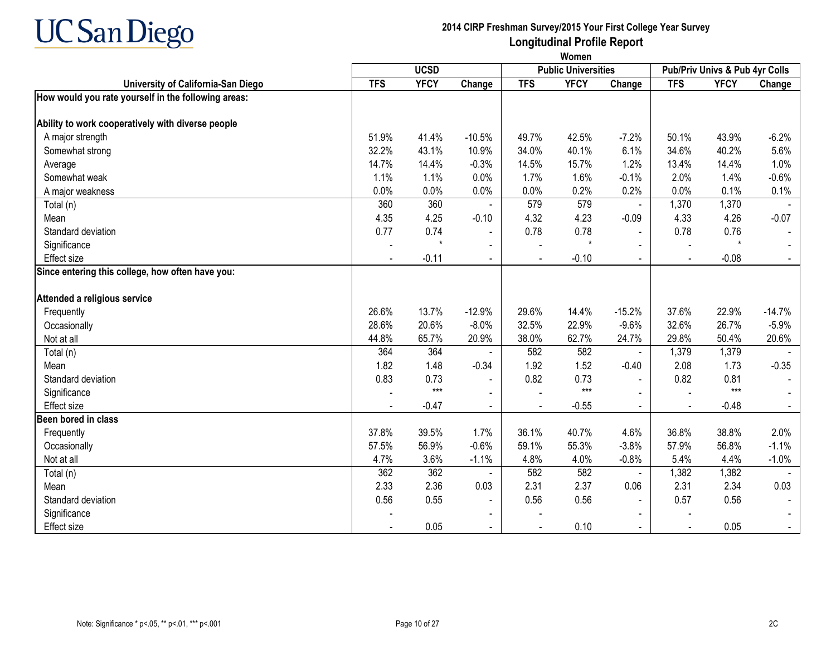

|                                                     | Women      |             |                |            |                            |                |                |                                |          |
|-----------------------------------------------------|------------|-------------|----------------|------------|----------------------------|----------------|----------------|--------------------------------|----------|
|                                                     |            | <b>UCSD</b> |                |            | <b>Public Universities</b> |                |                | Pub/Priv Univs & Pub 4yr Colls |          |
| University of California-San Diego                  | <b>TFS</b> | <b>YFCY</b> | Change         | <b>TFS</b> | <b>YFCY</b>                | Change         | <b>TFS</b>     | <b>YFCY</b>                    | Change   |
| How would you rate yourself in the following areas: |            |             |                |            |                            |                |                |                                |          |
| Ability to work cooperatively with diverse people   |            |             |                |            |                            |                |                |                                |          |
| A major strength                                    | 51.9%      | 41.4%       | $-10.5%$       | 49.7%      | 42.5%                      | $-7.2%$        | 50.1%          | 43.9%                          | $-6.2%$  |
| Somewhat strong                                     | 32.2%      | 43.1%       | 10.9%          | 34.0%      | 40.1%                      | 6.1%           | 34.6%          | 40.2%                          | 5.6%     |
| Average                                             | 14.7%      | 14.4%       | $-0.3%$        | 14.5%      | 15.7%                      | 1.2%           | 13.4%          | 14.4%                          | 1.0%     |
| Somewhat weak                                       | 1.1%       | 1.1%        | 0.0%           | 1.7%       | 1.6%                       | $-0.1%$        | 2.0%           | 1.4%                           | $-0.6%$  |
| A major weakness                                    | 0.0%       | 0.0%        | 0.0%           | 0.0%       | 0.2%                       | 0.2%           | 0.0%           | 0.1%                           | 0.1%     |
| Total (n)                                           | 360        | 360         |                | 579        | 579                        | $\blacksquare$ | 1,370          | 1,370                          |          |
| Mean                                                | 4.35       | 4.25        | $-0.10$        | 4.32       | 4.23                       | $-0.09$        | 4.33           | 4.26                           | $-0.07$  |
| Standard deviation                                  | 0.77       | 0.74        | $\blacksquare$ | 0.78       | 0.78                       |                | 0.78           | 0.76                           |          |
| Significance                                        |            | $\star$     | $\blacksquare$ |            | $\star$                    |                |                | $\star$                        |          |
| <b>Effect size</b>                                  |            | $-0.11$     | $\blacksquare$ |            | $-0.10$                    | $\sim$         | $\blacksquare$ | $-0.08$                        |          |
| Since entering this college, how often have you:    |            |             |                |            |                            |                |                |                                |          |
| Attended a religious service                        |            |             |                |            |                            |                |                |                                |          |
| Frequently                                          | 26.6%      | 13.7%       | $-12.9%$       | 29.6%      | 14.4%                      | $-15.2%$       | 37.6%          | 22.9%                          | $-14.7%$ |
| Occasionally                                        | 28.6%      | 20.6%       | $-8.0%$        | 32.5%      | 22.9%                      | $-9.6%$        | 32.6%          | 26.7%                          | $-5.9%$  |
| Not at all                                          | 44.8%      | 65.7%       | 20.9%          | 38.0%      | 62.7%                      | 24.7%          | 29.8%          | 50.4%                          | 20.6%    |
| Total (n)                                           | 364        | 364         |                | 582        | 582                        |                | 1,379          | 1,379                          |          |
| Mean                                                | 1.82       | 1.48        | $-0.34$        | 1.92       | 1.52                       | $-0.40$        | 2.08           | 1.73                           | $-0.35$  |
| Standard deviation                                  | 0.83       | 0.73        |                | 0.82       | 0.73                       |                | 0.82           | 0.81                           |          |
| Significance                                        |            | $***$       |                |            | $***$                      |                |                | $***$                          |          |
| <b>Effect</b> size                                  |            | $-0.47$     |                |            | $-0.55$                    |                |                | $-0.48$                        |          |
| Been bored in class                                 |            |             |                |            |                            |                |                |                                |          |
| Frequently                                          | 37.8%      | 39.5%       | 1.7%           | 36.1%      | 40.7%                      | 4.6%           | 36.8%          | 38.8%                          | 2.0%     |
| Occasionally                                        | 57.5%      | 56.9%       | $-0.6%$        | 59.1%      | 55.3%                      | $-3.8%$        | 57.9%          | 56.8%                          | $-1.1%$  |
| Not at all                                          | 4.7%       | 3.6%        | $-1.1%$        | 4.8%       | 4.0%                       | $-0.8%$        | 5.4%           | 4.4%                           | $-1.0%$  |
| Total (n)                                           | 362        | 362         |                | 582        | 582                        | $\blacksquare$ | 1,382          | 1,382                          |          |
| Mean                                                | 2.33       | 2.36        | 0.03           | 2.31       | 2.37                       | 0.06           | 2.31           | 2.34                           | 0.03     |
| Standard deviation                                  | 0.56       | 0.55        | $\blacksquare$ | 0.56       | 0.56                       |                | 0.57           | 0.56                           |          |
| Significance                                        |            |             |                |            |                            |                |                |                                |          |
| <b>Effect</b> size                                  |            | 0.05        | $\sim$         |            | 0.10                       | $\sim$         | $\blacksquare$ | 0.05                           |          |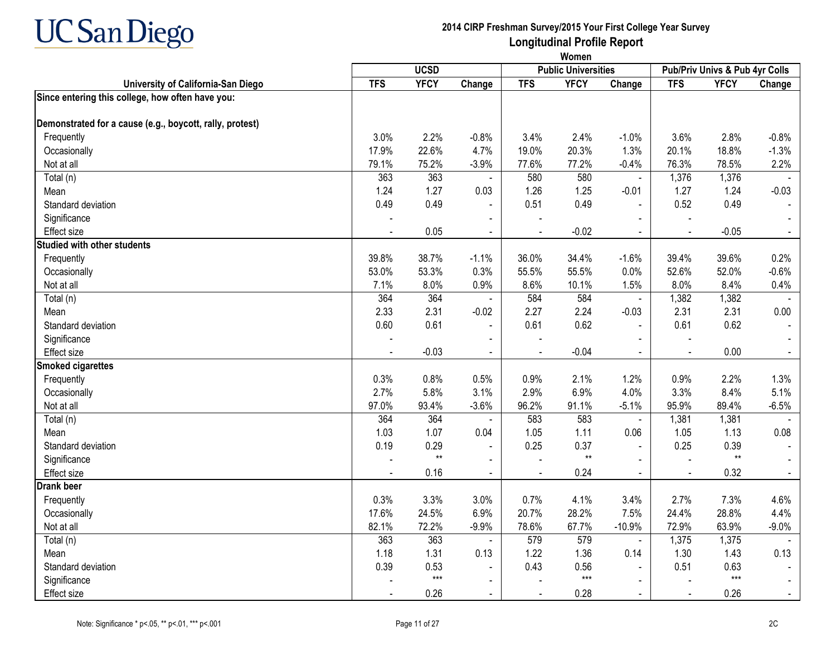

|                                                          |            |             |                |                |                            |                | Women                          |              |                |  |  |  |
|----------------------------------------------------------|------------|-------------|----------------|----------------|----------------------------|----------------|--------------------------------|--------------|----------------|--|--|--|
|                                                          |            | <b>UCSD</b> |                |                | <b>Public Universities</b> |                | Pub/Priv Univs & Pub 4yr Colls |              |                |  |  |  |
| University of California-San Diego                       | <b>TFS</b> | <b>YFCY</b> | Change         | <b>TFS</b>     | <b>YFCY</b>                | Change         | <b>TFS</b>                     | <b>YFCY</b>  | Change         |  |  |  |
| Since entering this college, how often have you:         |            |             |                |                |                            |                |                                |              |                |  |  |  |
| Demonstrated for a cause (e.g., boycott, rally, protest) |            |             |                |                |                            |                |                                |              |                |  |  |  |
| Frequently                                               | 3.0%       | 2.2%        | $-0.8%$        | 3.4%           | 2.4%                       | $-1.0%$        | 3.6%                           | 2.8%         | $-0.8%$        |  |  |  |
| Occasionally                                             | 17.9%      | 22.6%       | 4.7%           | 19.0%          | 20.3%                      | 1.3%           | 20.1%                          | 18.8%        | $-1.3%$        |  |  |  |
| Not at all                                               | 79.1%      | 75.2%       | $-3.9%$        | 77.6%          | 77.2%                      | $-0.4%$        | 76.3%                          | 78.5%        | 2.2%           |  |  |  |
| Total (n)                                                | 363        | 363         |                | 580            | 580                        |                | 1,376                          | 1,376        |                |  |  |  |
| Mean                                                     | 1.24       | 1.27        | 0.03           | 1.26           | 1.25                       | $-0.01$        | 1.27                           | 1.24         | $-0.03$        |  |  |  |
| Standard deviation                                       | 0.49       | 0.49        | $\blacksquare$ | 0.51           | 0.49                       | $\blacksquare$ | 0.52                           | 0.49         |                |  |  |  |
| Significance                                             |            |             |                |                |                            |                |                                |              |                |  |  |  |
| Effect size                                              |            | 0.05        |                |                | $-0.02$                    |                |                                | $-0.05$      | $\blacksquare$ |  |  |  |
| <b>Studied with other students</b>                       |            |             |                |                |                            |                |                                |              |                |  |  |  |
| Frequently                                               | 39.8%      | 38.7%       | $-1.1%$        | 36.0%          | 34.4%                      | $-1.6%$        | 39.4%                          | 39.6%        | 0.2%           |  |  |  |
| Occasionally                                             | 53.0%      | 53.3%       | 0.3%           | 55.5%          | 55.5%                      | 0.0%           | 52.6%                          | 52.0%        | $-0.6%$        |  |  |  |
| Not at all                                               | 7.1%       | 8.0%        | 0.9%           | 8.6%           | 10.1%                      | 1.5%           | 8.0%                           | 8.4%         | 0.4%           |  |  |  |
| Total (n)                                                | 364        | 364         |                | 584            | 584                        | $\blacksquare$ | 1,382                          | 1,382        |                |  |  |  |
| Mean                                                     | 2.33       | 2.31        | $-0.02$        | 2.27           | 2.24                       | $-0.03$        | 2.31                           | 2.31         | 0.00           |  |  |  |
| Standard deviation                                       | 0.60       | 0.61        | $\mathbf{r}$   | 0.61           | 0.62                       | $\blacksquare$ | 0.61                           | 0.62         |                |  |  |  |
| Significance                                             |            |             | $\blacksquare$ |                |                            | $\blacksquare$ |                                |              |                |  |  |  |
| Effect size                                              |            | $-0.03$     | $\sim$         | $\sim$         | $-0.04$                    | $\overline{a}$ |                                | 0.00         |                |  |  |  |
| <b>Smoked cigarettes</b>                                 |            |             |                |                |                            |                |                                |              |                |  |  |  |
| Frequently                                               | 0.3%       | 0.8%        | 0.5%           | 0.9%           | 2.1%                       | 1.2%           | 0.9%                           | 2.2%         | 1.3%           |  |  |  |
| Occasionally                                             | 2.7%       | 5.8%        | 3.1%           | 2.9%           | 6.9%                       | 4.0%           | 3.3%                           | 8.4%         | 5.1%           |  |  |  |
| Not at all                                               | 97.0%      | 93.4%       | $-3.6%$        | 96.2%          | 91.1%                      | $-5.1%$        | 95.9%                          | 89.4%        | $-6.5%$        |  |  |  |
| Total (n)                                                | 364        | 364         |                | 583            | 583                        | $\blacksquare$ | 1,381                          | 1,381        |                |  |  |  |
| Mean                                                     | 1.03       | 1.07        | 0.04           | 1.05           | 1.11                       | 0.06           | 1.05                           | 1.13         | 0.08           |  |  |  |
| Standard deviation                                       | 0.19       | 0.29        | $\blacksquare$ | 0.25           | 0.37                       | L,             | 0.25                           | 0.39         |                |  |  |  |
| Significance                                             |            | $**$        | $\blacksquare$ |                | $^{\star\star}$            |                |                                | $\star\star$ |                |  |  |  |
| Effect size                                              |            | 0.16        | $\sim$         | $\blacksquare$ | 0.24                       | $\blacksquare$ | $\blacksquare$                 | 0.32         | $\sim$         |  |  |  |
| <b>Drank beer</b>                                        |            |             |                |                |                            |                |                                |              |                |  |  |  |
| Frequently                                               | 0.3%       | 3.3%        | 3.0%           | 0.7%           | 4.1%                       | 3.4%           | 2.7%                           | 7.3%         | 4.6%           |  |  |  |
| Occasionally                                             | 17.6%      | 24.5%       | 6.9%           | 20.7%          | 28.2%                      | 7.5%           | 24.4%                          | 28.8%        | 4.4%           |  |  |  |
| Not at all                                               | 82.1%      | 72.2%       | $-9.9%$        | 78.6%          | 67.7%                      | $-10.9%$       | 72.9%                          | 63.9%        | $-9.0%$        |  |  |  |
| Total (n)                                                | 363        | 363         | $\blacksquare$ | 579            | 579                        | $\blacksquare$ | 1,375                          | 1,375        |                |  |  |  |
| Mean                                                     | 1.18       | 1.31        | 0.13           | 1.22           | 1.36                       | 0.14           | 1.30                           | 1.43         | 0.13           |  |  |  |
| Standard deviation                                       | 0.39       | 0.53        | $\sim$         | 0.43           | 0.56                       | $\blacksquare$ | 0.51                           | 0.63         |                |  |  |  |
| Significance                                             |            | $***$       | $\blacksquare$ |                | $***$                      | $\blacksquare$ |                                | $***$        |                |  |  |  |
| Effect size                                              |            | 0.26        | $\blacksquare$ |                | 0.28                       | $\blacksquare$ |                                | 0.26         |                |  |  |  |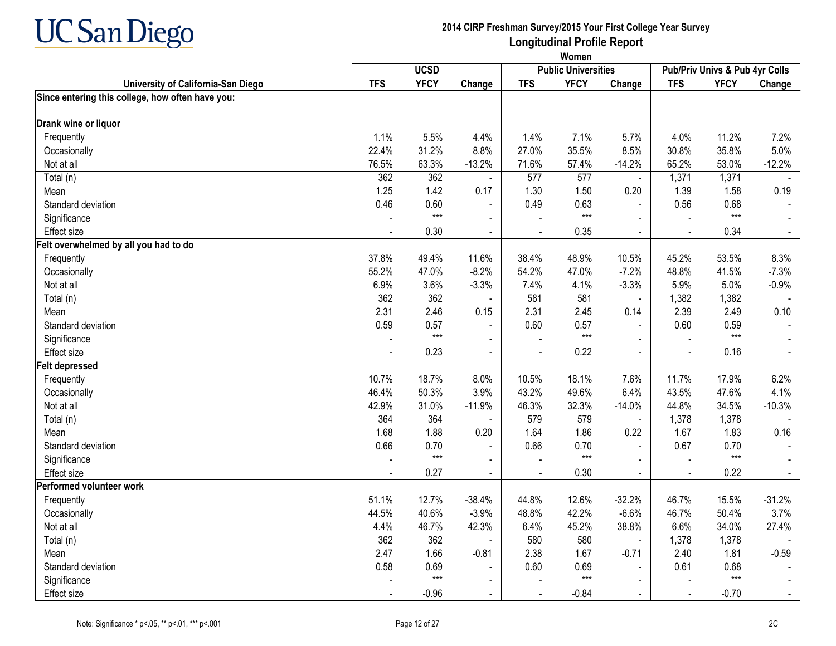

**Women**

|                                                  |            | <b>UCSD</b> |                |                | <b>Public Universities</b> |                |                | Pub/Priv Univs & Pub 4yr Colls |          |
|--------------------------------------------------|------------|-------------|----------------|----------------|----------------------------|----------------|----------------|--------------------------------|----------|
| University of California-San Diego               | <b>TFS</b> | <b>YFCY</b> | Change         | <b>TFS</b>     | <b>YFCY</b>                | Change         | <b>TFS</b>     | <b>YFCY</b>                    | Change   |
| Since entering this college, how often have you: |            |             |                |                |                            |                |                |                                |          |
| Drank wine or liquor                             |            |             |                |                |                            |                |                |                                |          |
| Frequently                                       | 1.1%       | 5.5%        | 4.4%           | 1.4%           | 7.1%                       | 5.7%           | 4.0%           | 11.2%                          | 7.2%     |
| Occasionally                                     | 22.4%      | 31.2%       | 8.8%           | 27.0%          | 35.5%                      | 8.5%           | 30.8%          | 35.8%                          | 5.0%     |
| Not at all                                       | 76.5%      | 63.3%       | $-13.2%$       | 71.6%          | 57.4%                      | $-14.2%$       | 65.2%          | 53.0%                          | $-12.2%$ |
| Total (n)                                        | 362        | 362         | $\blacksquare$ | 577            | 577                        | $\blacksquare$ | 1,371          | 1,371                          |          |
| Mean                                             | 1.25       | 1.42        | 0.17           | 1.30           | 1.50                       | 0.20           | 1.39           | 1.58                           | 0.19     |
| Standard deviation                               | 0.46       | 0.60        | $\blacksquare$ | 0.49           | 0.63                       | $\blacksquare$ | 0.56           | 0.68                           |          |
| Significance                                     |            | $***$       |                |                | $***$                      |                |                | $***$                          |          |
| <b>Effect size</b>                               |            | 0.30        | $\blacksquare$ | $\blacksquare$ | 0.35                       | $\Delta$       | $\blacksquare$ | 0.34                           | $\sim$   |
| Felt overwhelmed by all you had to do            |            |             |                |                |                            |                |                |                                |          |
| Frequently                                       | 37.8%      | 49.4%       | 11.6%          | 38.4%          | 48.9%                      | 10.5%          | 45.2%          | 53.5%                          | 8.3%     |
| Occasionally                                     | 55.2%      | 47.0%       | $-8.2%$        | 54.2%          | 47.0%                      | $-7.2%$        | 48.8%          | 41.5%                          | $-7.3%$  |
| Not at all                                       | 6.9%       | 3.6%        | $-3.3%$        | 7.4%           | 4.1%                       | $-3.3%$        | 5.9%           | 5.0%                           | $-0.9%$  |
| Total (n)                                        | 362        | 362         | $\blacksquare$ | 581            | 581                        | $\blacksquare$ | 1,382          | 1,382                          |          |
| Mean                                             | 2.31       | 2.46        | 0.15           | 2.31           | 2.45                       | 0.14           | 2.39           | 2.49                           | 0.10     |
| Standard deviation                               | 0.59       | 0.57        | $\blacksquare$ | 0.60           | 0.57                       | $\blacksquare$ | 0.60           | 0.59                           |          |
| Significance                                     |            | $***$       | $\blacksquare$ |                | $***$                      | $\blacksquare$ |                | $***$                          |          |
| <b>Effect size</b>                               |            | 0.23        | $\blacksquare$ |                | 0.22                       |                |                | 0.16                           |          |
| <b>Felt depressed</b>                            |            |             |                |                |                            |                |                |                                |          |
| Frequently                                       | 10.7%      | 18.7%       | 8.0%           | 10.5%          | 18.1%                      | 7.6%           | 11.7%          | 17.9%                          | 6.2%     |
| Occasionally                                     | 46.4%      | 50.3%       | 3.9%           | 43.2%          | 49.6%                      | 6.4%           | 43.5%          | 47.6%                          | 4.1%     |
| Not at all                                       | 42.9%      | 31.0%       | $-11.9%$       | 46.3%          | 32.3%                      | $-14.0%$       | 44.8%          | 34.5%                          | $-10.3%$ |
| Total (n)                                        | 364        | 364         |                | 579            | 579                        | $\blacksquare$ | 1,378          | 1,378                          |          |
| Mean                                             | 1.68       | 1.88        | 0.20           | 1.64           | 1.86                       | 0.22           | 1.67           | 1.83                           | 0.16     |
| Standard deviation                               | 0.66       | 0.70        |                | 0.66           | 0.70                       | $\blacksquare$ | 0.67           | 0.70                           |          |
| Significance                                     |            | $***$       | $\blacksquare$ |                | $***$                      | $\mathbf{r}$   |                | $***$                          |          |
| <b>Effect size</b>                               |            | 0.27        | $\blacksquare$ |                | 0.30                       | $\blacksquare$ |                | 0.22                           |          |
| Performed volunteer work                         |            |             |                |                |                            |                |                |                                |          |
| Frequently                                       | 51.1%      | 12.7%       | $-38.4%$       | 44.8%          | 12.6%                      | $-32.2%$       | 46.7%          | 15.5%                          | $-31.2%$ |
| Occasionally                                     | 44.5%      | 40.6%       | $-3.9%$        | 48.8%          | 42.2%                      | $-6.6%$        | 46.7%          | 50.4%                          | 3.7%     |
| Not at all                                       | 4.4%       | 46.7%       | 42.3%          | 6.4%           | 45.2%                      | 38.8%          | 6.6%           | 34.0%                          | 27.4%    |
| Total (n)                                        | 362        | 362         | $\blacksquare$ | 580            | 580                        | $\blacksquare$ | 1,378          | 1,378                          |          |
| Mean                                             | 2.47       | 1.66        | $-0.81$        | 2.38           | 1.67                       | $-0.71$        | 2.40           | 1.81                           | $-0.59$  |
| Standard deviation                               | 0.58       | 0.69        | $\blacksquare$ | 0.60           | 0.69                       |                | 0.61           | 0.68                           |          |
| Significance                                     |            | $***$       | $\blacksquare$ |                | $***$                      |                |                | $***$                          |          |
| Effect size                                      |            | $-0.96$     | $\blacksquare$ | $\sim$         | $-0.84$                    | $\sim$         | $\sim$         | $-0.70$                        |          |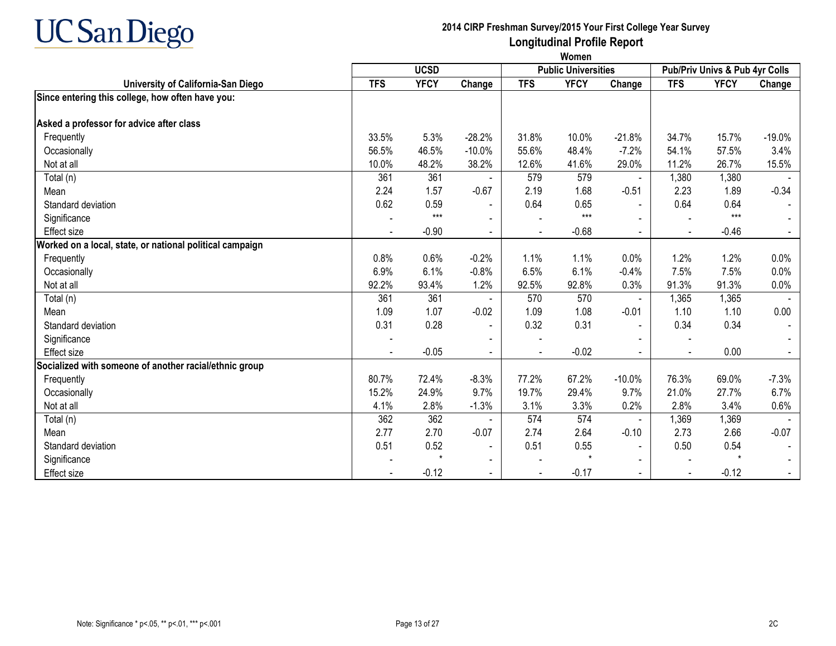

|                                                          | Women      |             |                |                |                            |                |                |                                |          |
|----------------------------------------------------------|------------|-------------|----------------|----------------|----------------------------|----------------|----------------|--------------------------------|----------|
|                                                          |            | <b>UCSD</b> |                |                | <b>Public Universities</b> |                |                | Pub/Priv Univs & Pub 4yr Colls |          |
| University of California-San Diego                       | <b>TFS</b> | <b>YFCY</b> | Change         | <b>TFS</b>     | <b>YFCY</b>                | Change         | <b>TFS</b>     | <b>YFCY</b>                    | Change   |
| Since entering this college, how often have you:         |            |             |                |                |                            |                |                |                                |          |
| Asked a professor for advice after class                 |            |             |                |                |                            |                |                |                                |          |
| Frequently                                               | 33.5%      | 5.3%        | $-28.2%$       | 31.8%          | 10.0%                      | $-21.8%$       | 34.7%          | 15.7%                          | $-19.0%$ |
| Occasionally                                             | 56.5%      | 46.5%       | $-10.0%$       | 55.6%          | 48.4%                      | $-7.2%$        | 54.1%          | 57.5%                          | 3.4%     |
| Not at all                                               | 10.0%      | 48.2%       | 38.2%          | 12.6%          | 41.6%                      | 29.0%          | 11.2%          | 26.7%                          | 15.5%    |
| Total (n)                                                | 361        | 361         |                | 579            | 579                        | $\blacksquare$ | 1,380          | 1,380                          |          |
| Mean                                                     | 2.24       | 1.57        | $-0.67$        | 2.19           | 1.68                       | $-0.51$        | 2.23           | 1.89                           | $-0.34$  |
| Standard deviation                                       | 0.62       | 0.59        |                | 0.64           | 0.65                       |                | 0.64           | 0.64                           |          |
| Significance                                             |            | $***$       |                |                | $***$                      |                |                | $***$                          |          |
| Effect size                                              |            | $-0.90$     | $\sim$         | $\blacksquare$ | $-0.68$                    | $\blacksquare$ |                | $-0.46$                        |          |
| Worked on a local, state, or national political campaign |            |             |                |                |                            |                |                |                                |          |
| Frequently                                               | 0.8%       | 0.6%        | $-0.2%$        | 1.1%           | 1.1%                       | 0.0%           | 1.2%           | 1.2%                           | 0.0%     |
| Occasionally                                             | 6.9%       | 6.1%        | $-0.8%$        | 6.5%           | 6.1%                       | $-0.4%$        | 7.5%           | 7.5%                           | 0.0%     |
| Not at all                                               | 92.2%      | 93.4%       | 1.2%           | 92.5%          | 92.8%                      | 0.3%           | 91.3%          | 91.3%                          | 0.0%     |
| Total (n)                                                | 361        | 361         |                | 570            | 570                        |                | 1,365          | 1,365                          |          |
| Mean                                                     | 1.09       | 1.07        | $-0.02$        | 1.09           | 1.08                       | $-0.01$        | 1.10           | 1.10                           | 0.00     |
| Standard deviation                                       | 0.31       | 0.28        | $\blacksquare$ | 0.32           | 0.31                       |                | 0.34           | 0.34                           |          |
| Significance                                             |            |             |                |                |                            |                |                |                                |          |
| <b>Effect</b> size                                       |            | $-0.05$     | $\blacksquare$ | $\blacksquare$ | $-0.02$                    | $\blacksquare$ | $\blacksquare$ | 0.00                           |          |
| Socialized with someone of another racial/ethnic group   |            |             |                |                |                            |                |                |                                |          |
| Frequently                                               | 80.7%      | 72.4%       | $-8.3%$        | 77.2%          | 67.2%                      | $-10.0%$       | 76.3%          | 69.0%                          | $-7.3%$  |
| Occasionally                                             | 15.2%      | 24.9%       | 9.7%           | 19.7%          | 29.4%                      | 9.7%           | 21.0%          | 27.7%                          | 6.7%     |
| Not at all                                               | 4.1%       | 2.8%        | $-1.3%$        | 3.1%           | 3.3%                       | 0.2%           | 2.8%           | 3.4%                           | 0.6%     |
| Total (n)                                                | 362        | 362         |                | 574            | 574                        | $\blacksquare$ | 1,369          | 1,369                          |          |
| Mean                                                     | 2.77       | 2.70        | $-0.07$        | 2.74           | 2.64                       | $-0.10$        | 2.73           | 2.66                           | $-0.07$  |
| Standard deviation                                       | 0.51       | 0.52        |                | 0.51           | 0.55                       | $\blacksquare$ | 0.50           | 0.54                           |          |
| Significance                                             |            |             |                |                | $\star$                    |                |                |                                |          |
| <b>Effect size</b>                                       |            | $-0.12$     |                | $\blacksquare$ | $-0.17$                    | $\blacksquare$ |                | $-0.12$                        |          |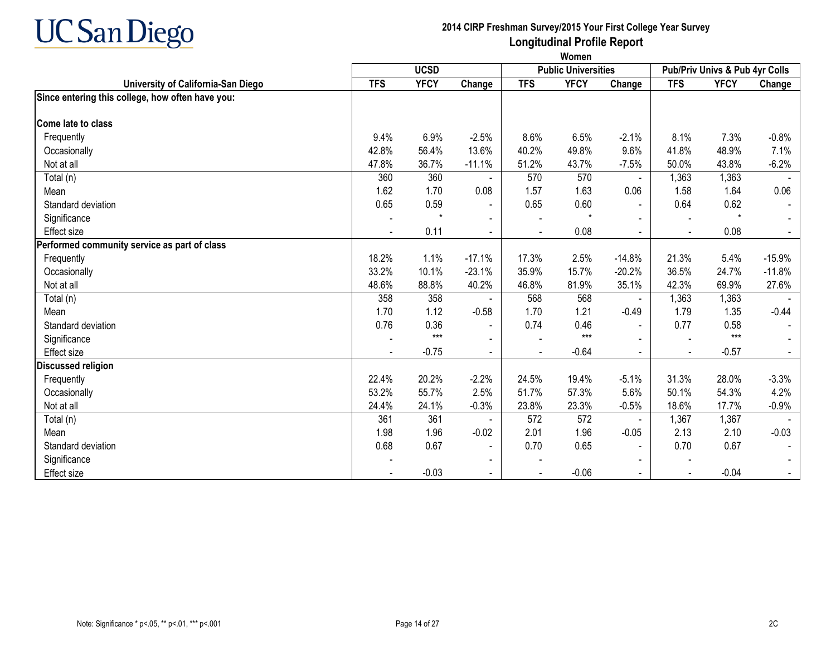

|                                                  |                | Women       |                |                          |                            |                |                                |             |          |  |  |  |
|--------------------------------------------------|----------------|-------------|----------------|--------------------------|----------------------------|----------------|--------------------------------|-------------|----------|--|--|--|
|                                                  |                | <b>UCSD</b> |                |                          | <b>Public Universities</b> |                | Pub/Priv Univs & Pub 4yr Colls |             |          |  |  |  |
| University of California-San Diego               | <b>TFS</b>     | <b>YFCY</b> | Change         | <b>TFS</b>               | <b>YFCY</b>                | Change         | <b>TFS</b>                     | <b>YFCY</b> | Change   |  |  |  |
| Since entering this college, how often have you: |                |             |                |                          |                            |                |                                |             |          |  |  |  |
| Come late to class                               |                |             |                |                          |                            |                |                                |             |          |  |  |  |
| Frequently                                       | 9.4%           | 6.9%        | $-2.5%$        | 8.6%                     | 6.5%                       | $-2.1%$        | 8.1%                           | 7.3%        | $-0.8%$  |  |  |  |
| Occasionally                                     | 42.8%          | 56.4%       | 13.6%          | 40.2%                    | 49.8%                      | 9.6%           | 41.8%                          | 48.9%       | 7.1%     |  |  |  |
| Not at all                                       | 47.8%          | 36.7%       | $-11.1%$       | 51.2%                    | 43.7%                      | $-7.5%$        | 50.0%                          | 43.8%       | $-6.2%$  |  |  |  |
| Total (n)                                        | 360            | 360         |                | 570                      | 570                        | $\blacksquare$ | 1,363                          | 1,363       |          |  |  |  |
| Mean                                             | 1.62           | 1.70        | 0.08           | 1.57                     | 1.63                       | 0.06           | 1.58                           | 1.64        | 0.06     |  |  |  |
| Standard deviation                               | 0.65           | 0.59        |                | 0.65                     | 0.60                       | $\blacksquare$ | 0.64                           | 0.62        |          |  |  |  |
| Significance                                     |                | $\star$     |                | $\overline{\phantom{a}}$ | $\star$                    |                |                                | $\star$     |          |  |  |  |
| <b>Effect size</b>                               |                | 0.11        |                |                          | 0.08                       |                |                                | 0.08        |          |  |  |  |
| Performed community service as part of class     |                |             |                |                          |                            |                |                                |             |          |  |  |  |
| Frequently                                       | 18.2%          | 1.1%        | $-17.1%$       | 17.3%                    | 2.5%                       | $-14.8%$       | 21.3%                          | 5.4%        | $-15.9%$ |  |  |  |
| Occasionally                                     | 33.2%          | 10.1%       | $-23.1%$       | 35.9%                    | 15.7%                      | $-20.2%$       | 36.5%                          | 24.7%       | $-11.8%$ |  |  |  |
| Not at all                                       | 48.6%          | 88.8%       | 40.2%          | 46.8%                    | 81.9%                      | 35.1%          | 42.3%                          | 69.9%       | 27.6%    |  |  |  |
| Total (n)                                        | 358            | 358         |                | 568                      | 568                        | $\blacksquare$ | 1,363                          | 1,363       |          |  |  |  |
| Mean                                             | 1.70           | 1.12        | $-0.58$        | 1.70                     | 1.21                       | $-0.49$        | 1.79                           | 1.35        | $-0.44$  |  |  |  |
| Standard deviation                               | 0.76           | 0.36        | $\blacksquare$ | 0.74                     | 0.46                       | $\sim$         | 0.77                           | 0.58        |          |  |  |  |
| Significance                                     |                | $***$       |                |                          | $***$                      | $\blacksquare$ |                                | $***$       |          |  |  |  |
| <b>Effect size</b>                               | $\blacksquare$ | $-0.75$     | $\sim$         | $\blacksquare$           | $-0.64$                    | $\blacksquare$ | $\blacksquare$                 | $-0.57$     |          |  |  |  |
| Discussed religion                               |                |             |                |                          |                            |                |                                |             |          |  |  |  |
| Frequently                                       | 22.4%          | 20.2%       | $-2.2%$        | 24.5%                    | 19.4%                      | $-5.1%$        | 31.3%                          | 28.0%       | $-3.3%$  |  |  |  |
| Occasionally                                     | 53.2%          | 55.7%       | 2.5%           | 51.7%                    | 57.3%                      | 5.6%           | 50.1%                          | 54.3%       | 4.2%     |  |  |  |
| Not at all                                       | 24.4%          | 24.1%       | $-0.3%$        | 23.8%                    | 23.3%                      | $-0.5%$        | 18.6%                          | 17.7%       | $-0.9%$  |  |  |  |
| Total (n)                                        | 361            | 361         |                | 572                      | 572                        |                | 1,367                          | 1,367       |          |  |  |  |
| Mean                                             | 1.98           | 1.96        | $-0.02$        | 2.01                     | 1.96                       | $-0.05$        | 2.13                           | 2.10        | $-0.03$  |  |  |  |
| Standard deviation                               | 0.68           | 0.67        |                | 0.70                     | 0.65                       | $\blacksquare$ | 0.70                           | 0.67        |          |  |  |  |

Significance - - - - - - = + 0.03 - - 0.06 - - 0.06 - - -0.04 - - -0.04 - - -0.07 - - -0.06 - - -0.04 - - -0.04 - - -0.04 - - -0.04 - -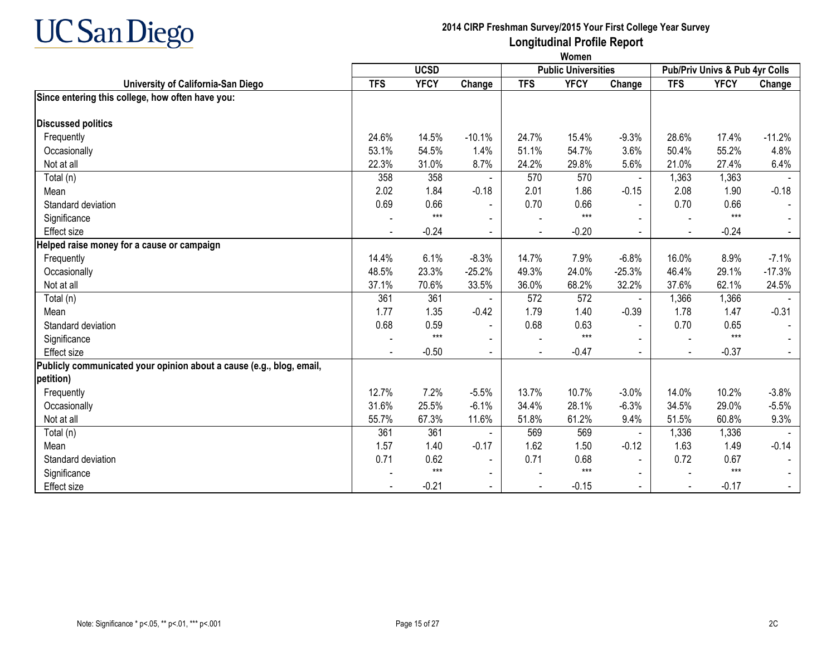

**Women**

|                                                                      | <b>UCSD</b> |             |                          |            | <b>Public Universities</b> |                          | Pub/Priv Univs & Pub 4yr Colls |             |                |
|----------------------------------------------------------------------|-------------|-------------|--------------------------|------------|----------------------------|--------------------------|--------------------------------|-------------|----------------|
| University of California-San Diego                                   | <b>TFS</b>  | <b>YFCY</b> | Change                   | <b>TFS</b> | <b>YFCY</b>                | Change                   | <b>TFS</b>                     | <b>YFCY</b> | Change         |
| Since entering this college, how often have you:                     |             |             |                          |            |                            |                          |                                |             |                |
|                                                                      |             |             |                          |            |                            |                          |                                |             |                |
| <b>Discussed politics</b>                                            |             |             |                          |            |                            |                          |                                |             |                |
| Frequently                                                           | 24.6%       | 14.5%       | $-10.1%$                 | 24.7%      | 15.4%                      | $-9.3%$                  | 28.6%                          | 17.4%       | $-11.2%$       |
| Occasionally                                                         | 53.1%       | 54.5%       | 1.4%                     | 51.1%      | 54.7%                      | 3.6%                     | 50.4%                          | 55.2%       | 4.8%           |
| Not at all                                                           | 22.3%       | 31.0%       | 8.7%                     | 24.2%      | 29.8%                      | 5.6%                     | 21.0%                          | 27.4%       | 6.4%           |
| Total (n)                                                            | 358         | 358         |                          | 570        | 570                        | $\blacksquare$           | 1,363                          | 1,363       |                |
| Mean                                                                 | 2.02        | 1.84        | $-0.18$                  | 2.01       | 1.86                       | $-0.15$                  | 2.08                           | 1.90        | $-0.18$        |
| Standard deviation                                                   | 0.69        | 0.66        | $\blacksquare$           | 0.70       | 0.66                       |                          | 0.70                           | 0.66        |                |
| Significance                                                         |             | $***$       |                          |            | $***$                      |                          |                                | $***$       |                |
| <b>Effect size</b>                                                   |             | $-0.24$     | $\blacksquare$           |            | $-0.20$                    | $\blacksquare$           |                                | $-0.24$     | $\blacksquare$ |
| Helped raise money for a cause or campaign                           |             |             |                          |            |                            |                          |                                |             |                |
| Frequently                                                           | 14.4%       | 6.1%        | $-8.3%$                  | 14.7%      | 7.9%                       | $-6.8%$                  | 16.0%                          | 8.9%        | $-7.1%$        |
| Occasionally                                                         | 48.5%       | 23.3%       | $-25.2%$                 | 49.3%      | 24.0%                      | $-25.3%$                 | 46.4%                          | 29.1%       | $-17.3%$       |
| Not at all                                                           | 37.1%       | 70.6%       | 33.5%                    | 36.0%      | 68.2%                      | 32.2%                    | 37.6%                          | 62.1%       | 24.5%          |
| Total (n)                                                            | 361         | 361         |                          | 572        | 572                        | $\blacksquare$           | 1,366                          | 1,366       |                |
| Mean                                                                 | 1.77        | 1.35        | $-0.42$                  | 1.79       | 1.40                       | $-0.39$                  | 1.78                           | 1.47        | $-0.31$        |
| Standard deviation                                                   | 0.68        | 0.59        | $\sim$                   | 0.68       | 0.63                       |                          | 0.70                           | 0.65        |                |
| Significance                                                         |             | $***$       | $\overline{\phantom{a}}$ |            | $***$                      |                          |                                | $***$       |                |
| <b>Effect size</b>                                                   |             | $-0.50$     | $\overline{\phantom{a}}$ |            | $-0.47$                    |                          |                                | $-0.37$     |                |
| Publicly communicated your opinion about a cause (e.g., blog, email, |             |             |                          |            |                            |                          |                                |             |                |
| petition)                                                            |             |             |                          |            |                            |                          |                                |             |                |
| Frequently                                                           | 12.7%       | 7.2%        | $-5.5%$                  | 13.7%      | 10.7%                      | $-3.0%$                  | 14.0%                          | 10.2%       | $-3.8%$        |
| Occasionally                                                         | 31.6%       | 25.5%       | $-6.1%$                  | 34.4%      | 28.1%                      | $-6.3%$                  | 34.5%                          | 29.0%       | $-5.5%$        |
| Not at all                                                           | 55.7%       | 67.3%       | 11.6%                    | 51.8%      | 61.2%                      | 9.4%                     | 51.5%                          | 60.8%       | 9.3%           |
| Total (n)                                                            | 361         | 361         |                          | 569        | 569                        |                          | 1,336                          | 1,336       |                |
| Mean                                                                 | 1.57        | 1.40        | $-0.17$                  | 1.62       | 1.50                       | $-0.12$                  | 1.63                           | 1.49        | $-0.14$        |
| Standard deviation                                                   | 0.71        | 0.62        | $\blacksquare$           | 0.71       | 0.68                       | $\blacksquare$           | 0.72                           | 0.67        |                |
| Significance                                                         |             | $***$       | $\blacksquare$           |            | $***$                      |                          |                                | $***$       |                |
| <b>Effect size</b>                                                   |             | $-0.21$     | $\blacksquare$           |            | $-0.15$                    | $\overline{\phantom{0}}$ |                                | $-0.17$     | $\sim$         |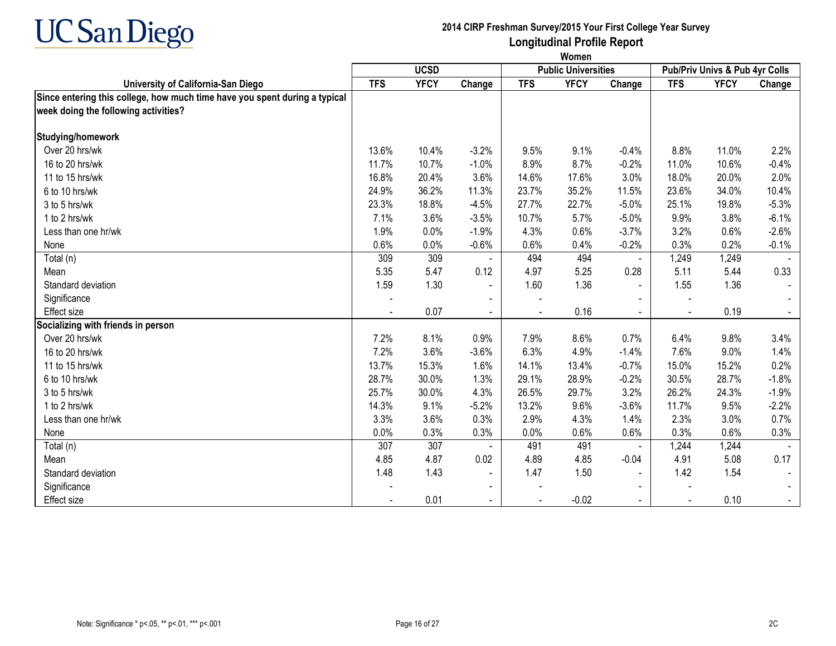

|                                                                            | Women      |             |                          |            |                            |                |                                |             |         |  |
|----------------------------------------------------------------------------|------------|-------------|--------------------------|------------|----------------------------|----------------|--------------------------------|-------------|---------|--|
|                                                                            |            | <b>UCSD</b> |                          |            | <b>Public Universities</b> |                | Pub/Priv Univs & Pub 4yr Colls |             |         |  |
| University of California-San Diego                                         | <b>TFS</b> | <b>YFCY</b> | Change                   | <b>TFS</b> | <b>YFCY</b>                | Change         | <b>TFS</b>                     | <b>YFCY</b> | Change  |  |
| Since entering this college, how much time have you spent during a typical |            |             |                          |            |                            |                |                                |             |         |  |
| week doing the following activities?                                       |            |             |                          |            |                            |                |                                |             |         |  |
| Studying/homework                                                          |            |             |                          |            |                            |                |                                |             |         |  |
| Over 20 hrs/wk                                                             | 13.6%      | 10.4%       | $-3.2%$                  | 9.5%       | 9.1%                       | $-0.4%$        | 8.8%                           | 11.0%       | 2.2%    |  |
| 16 to 20 hrs/wk                                                            | 11.7%      | 10.7%       | $-1.0%$                  | 8.9%       | 8.7%                       | $-0.2%$        | 11.0%                          | 10.6%       | $-0.4%$ |  |
| 11 to 15 hrs/wk                                                            | 16.8%      | 20.4%       | 3.6%                     | 14.6%      | 17.6%                      | 3.0%           | 18.0%                          | 20.0%       | 2.0%    |  |
| 6 to 10 hrs/wk                                                             | 24.9%      | 36.2%       | 11.3%                    | 23.7%      | 35.2%                      | 11.5%          | 23.6%                          | 34.0%       | 10.4%   |  |
| 3 to 5 hrs/wk                                                              | 23.3%      | 18.8%       | $-4.5%$                  | 27.7%      | 22.7%                      | $-5.0%$        | 25.1%                          | 19.8%       | $-5.3%$ |  |
| 1 to 2 hrs/wk                                                              | 7.1%       | 3.6%        | $-3.5%$                  | 10.7%      | 5.7%                       | $-5.0%$        | 9.9%                           | 3.8%        | $-6.1%$ |  |
| Less than one hr/wk                                                        | 1.9%       | 0.0%        | $-1.9%$                  | 4.3%       | 0.6%                       | $-3.7%$        | 3.2%                           | 0.6%        | $-2.6%$ |  |
| None                                                                       | 0.6%       | 0.0%        | $-0.6%$                  | 0.6%       | 0.4%                       | $-0.2%$        | 0.3%                           | 0.2%        | $-0.1%$ |  |
| Total (n)                                                                  | 309        | 309         |                          | 494        | 494                        | $\blacksquare$ | 1,249                          | 1,249       |         |  |
| Mean                                                                       | 5.35       | 5.47        | 0.12                     | 4.97       | 5.25                       | 0.28           | 5.11                           | 5.44        | 0.33    |  |
| Standard deviation                                                         | 1.59       | 1.30        | $\blacksquare$           | 1.60       | 1.36                       | $\blacksquare$ | 1.55                           | 1.36        |         |  |
| Significance                                                               |            |             | $\overline{\phantom{0}}$ |            |                            |                |                                |             |         |  |
| Effect size                                                                |            | 0.07        | $\blacksquare$           |            | 0.16                       | $\blacksquare$ |                                | 0.19        |         |  |
| Socializing with friends in person                                         |            |             |                          |            |                            |                |                                |             |         |  |
| Over 20 hrs/wk                                                             | 7.2%       | 8.1%        | 0.9%                     | 7.9%       | 8.6%                       | 0.7%           | 6.4%                           | 9.8%        | 3.4%    |  |
| 16 to 20 hrs/wk                                                            | 7.2%       | 3.6%        | $-3.6%$                  | 6.3%       | 4.9%                       | $-1.4%$        | 7.6%                           | 9.0%        | 1.4%    |  |
| 11 to 15 hrs/wk                                                            | 13.7%      | 15.3%       | 1.6%                     | 14.1%      | 13.4%                      | $-0.7%$        | 15.0%                          | 15.2%       | 0.2%    |  |
| 6 to 10 hrs/wk                                                             | 28.7%      | 30.0%       | 1.3%                     | 29.1%      | 28.9%                      | $-0.2%$        | 30.5%                          | 28.7%       | $-1.8%$ |  |
| 3 to 5 hrs/wk                                                              | 25.7%      | 30.0%       | 4.3%                     | 26.5%      | 29.7%                      | 3.2%           | 26.2%                          | 24.3%       | $-1.9%$ |  |
| 1 to 2 hrs/wk                                                              | 14.3%      | 9.1%        | $-5.2%$                  | 13.2%      | 9.6%                       | $-3.6%$        | 11.7%                          | 9.5%        | $-2.2%$ |  |
| Less than one hr/wk                                                        | 3.3%       | 3.6%        | 0.3%                     | 2.9%       | 4.3%                       | 1.4%           | 2.3%                           | 3.0%        | 0.7%    |  |
| None                                                                       | 0.0%       | 0.3%        | 0.3%                     | 0.0%       | 0.6%                       | 0.6%           | 0.3%                           | 0.6%        | 0.3%    |  |
| Total (n)                                                                  | 307        | 307         |                          | 491        | 491                        | $\blacksquare$ | 1,244                          | 1,244       |         |  |
| Mean                                                                       | 4.85       | 4.87        | 0.02                     | 4.89       | 4.85                       | $-0.04$        | 4.91                           | 5.08        | 0.17    |  |
| Standard deviation                                                         | 1.48       | 1.43        | $\blacksquare$           | 1.47       | 1.50                       | $\blacksquare$ | 1.42                           | 1.54        |         |  |
| Significance                                                               |            |             | $\blacksquare$           |            |                            |                |                                |             |         |  |
| Effect size                                                                |            | 0.01        |                          |            | $-0.02$                    |                |                                | 0.10        |         |  |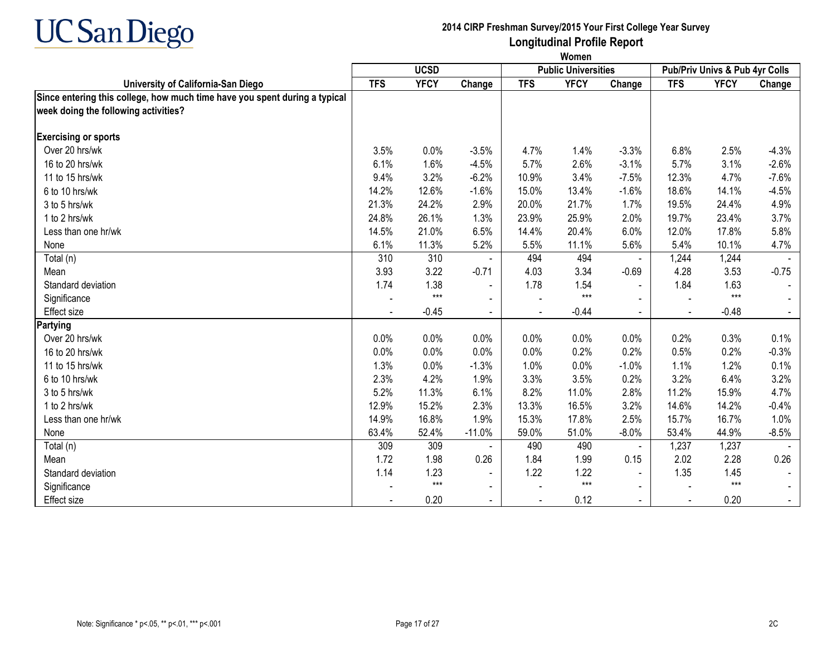

|                                                                            | Women      |             |                |            |                            |                |                                |             |         |  |
|----------------------------------------------------------------------------|------------|-------------|----------------|------------|----------------------------|----------------|--------------------------------|-------------|---------|--|
|                                                                            |            | <b>UCSD</b> |                |            | <b>Public Universities</b> |                | Pub/Priv Univs & Pub 4yr Colls |             |         |  |
| University of California-San Diego                                         | <b>TFS</b> | <b>YFCY</b> | Change         | <b>TFS</b> | <b>YFCY</b>                | Change         | <b>TFS</b>                     | <b>YFCY</b> | Change  |  |
| Since entering this college, how much time have you spent during a typical |            |             |                |            |                            |                |                                |             |         |  |
| week doing the following activities?                                       |            |             |                |            |                            |                |                                |             |         |  |
|                                                                            |            |             |                |            |                            |                |                                |             |         |  |
| <b>Exercising or sports</b>                                                |            |             |                |            |                            |                |                                |             |         |  |
| Over 20 hrs/wk                                                             | 3.5%       | 0.0%        | $-3.5%$        | 4.7%       | 1.4%                       | $-3.3%$        | 6.8%                           | 2.5%        | $-4.3%$ |  |
| 16 to 20 hrs/wk                                                            | 6.1%       | 1.6%        | $-4.5%$        | 5.7%       | 2.6%                       | $-3.1%$        | 5.7%                           | 3.1%        | $-2.6%$ |  |
| 11 to 15 hrs/wk                                                            | 9.4%       | 3.2%        | $-6.2%$        | 10.9%      | 3.4%                       | $-7.5%$        | 12.3%                          | 4.7%        | $-7.6%$ |  |
| 6 to 10 hrs/wk                                                             | 14.2%      | 12.6%       | $-1.6%$        | 15.0%      | 13.4%                      | $-1.6%$        | 18.6%                          | 14.1%       | $-4.5%$ |  |
| 3 to 5 hrs/wk                                                              | 21.3%      | 24.2%       | 2.9%           | 20.0%      | 21.7%                      | 1.7%           | 19.5%                          | 24.4%       | 4.9%    |  |
| 1 to 2 hrs/wk                                                              | 24.8%      | 26.1%       | 1.3%           | 23.9%      | 25.9%                      | 2.0%           | 19.7%                          | 23.4%       | 3.7%    |  |
| Less than one hr/wk                                                        | 14.5%      | 21.0%       | 6.5%           | 14.4%      | 20.4%                      | 6.0%           | 12.0%                          | 17.8%       | 5.8%    |  |
| None                                                                       | 6.1%       | 11.3%       | 5.2%           | 5.5%       | 11.1%                      | 5.6%           | 5.4%                           | 10.1%       | 4.7%    |  |
| Total (n)                                                                  | 310        | 310         |                | 494        | 494                        | $\blacksquare$ | 1,244                          | 1,244       |         |  |
| Mean                                                                       | 3.93       | 3.22        | $-0.71$        | 4.03       | 3.34                       | $-0.69$        | 4.28                           | 3.53        | $-0.75$ |  |
| Standard deviation                                                         | 1.74       | 1.38        | $\blacksquare$ | 1.78       | 1.54                       | $\blacksquare$ | 1.84                           | 1.63        |         |  |
| Significance                                                               |            | $***$       | $\blacksquare$ |            | $***$                      |                |                                | $***$       |         |  |
| Effect size                                                                |            | $-0.45$     | $\blacksquare$ |            | $-0.44$                    | $\sim$         |                                | $-0.48$     |         |  |
| Partying                                                                   |            |             |                |            |                            |                |                                |             |         |  |
| Over 20 hrs/wk                                                             | 0.0%       | 0.0%        | 0.0%           | 0.0%       | 0.0%                       | 0.0%           | 0.2%                           | 0.3%        | 0.1%    |  |
| 16 to 20 hrs/wk                                                            | 0.0%       | 0.0%        | 0.0%           | 0.0%       | 0.2%                       | 0.2%           | 0.5%                           | 0.2%        | $-0.3%$ |  |
| 11 to 15 hrs/wk                                                            | 1.3%       | 0.0%        | $-1.3%$        | 1.0%       | 0.0%                       | $-1.0%$        | 1.1%                           | 1.2%        | 0.1%    |  |
| 6 to 10 hrs/wk                                                             | 2.3%       | 4.2%        | 1.9%           | 3.3%       | 3.5%                       | 0.2%           | 3.2%                           | 6.4%        | 3.2%    |  |
| 3 to 5 hrs/wk                                                              | 5.2%       | 11.3%       | 6.1%           | 8.2%       | 11.0%                      | 2.8%           | 11.2%                          | 15.9%       | 4.7%    |  |
| 1 to 2 hrs/wk                                                              | 12.9%      | 15.2%       | 2.3%           | 13.3%      | 16.5%                      | 3.2%           | 14.6%                          | 14.2%       | $-0.4%$ |  |
| Less than one hr/wk                                                        | 14.9%      | 16.8%       | 1.9%           | 15.3%      | 17.8%                      | 2.5%           | 15.7%                          | 16.7%       | 1.0%    |  |
| None                                                                       | 63.4%      | 52.4%       | $-11.0%$       | 59.0%      | 51.0%                      | $-8.0%$        | 53.4%                          | 44.9%       | $-8.5%$ |  |
| Total (n)                                                                  | 309        | 309         |                | 490        | 490                        | $\blacksquare$ | 1,237                          | 1,237       |         |  |
| Mean                                                                       | 1.72       | 1.98        | 0.26           | 1.84       | 1.99                       | 0.15           | 2.02                           | 2.28        | 0.26    |  |
| Standard deviation                                                         | 1.14       | 1.23        | $\blacksquare$ | 1.22       | 1.22                       | $\blacksquare$ | 1.35                           | 1.45        |         |  |
| Significance                                                               |            | $***$       | $\sim$         |            | $***$                      | $\blacksquare$ |                                | $***$       |         |  |
| Effect size                                                                |            | 0.20        |                |            | 0.12                       | $\blacksquare$ | $\blacksquare$                 | 0.20        |         |  |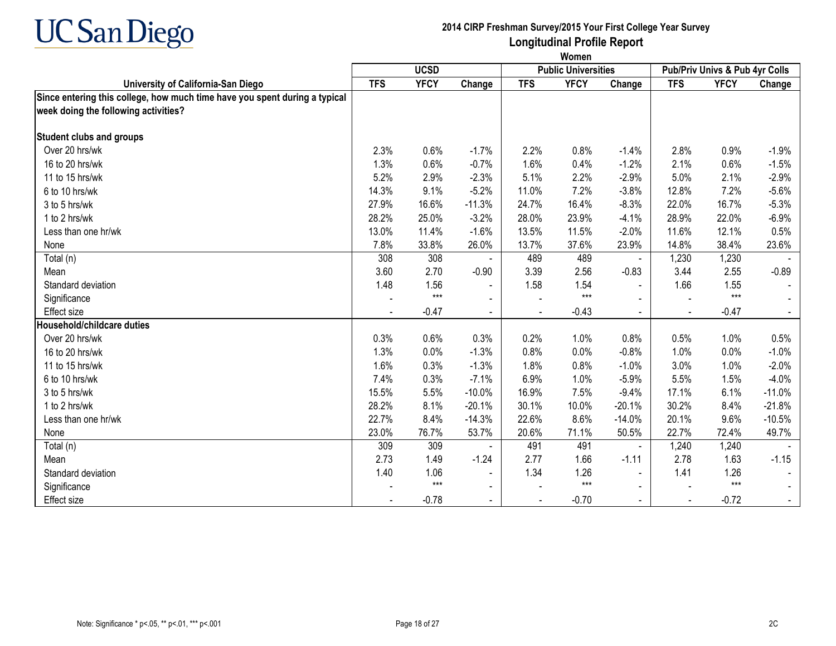

|                                                                            | Women      |             |                |            |                            |                |                                |             |          |  |
|----------------------------------------------------------------------------|------------|-------------|----------------|------------|----------------------------|----------------|--------------------------------|-------------|----------|--|
|                                                                            |            | <b>UCSD</b> |                |            | <b>Public Universities</b> |                | Pub/Priv Univs & Pub 4yr Colls |             |          |  |
| University of California-San Diego                                         | <b>TFS</b> | <b>YFCY</b> | Change         | <b>TFS</b> | <b>YFCY</b>                | Change         | <b>TFS</b>                     | <b>YFCY</b> | Change   |  |
| Since entering this college, how much time have you spent during a typical |            |             |                |            |                            |                |                                |             |          |  |
| week doing the following activities?                                       |            |             |                |            |                            |                |                                |             |          |  |
| <b>Student clubs and groups</b>                                            |            |             |                |            |                            |                |                                |             |          |  |
| Over 20 hrs/wk                                                             | 2.3%       | 0.6%        | $-1.7%$        | 2.2%       | 0.8%                       | $-1.4%$        | 2.8%                           | 0.9%        | $-1.9%$  |  |
| 16 to 20 hrs/wk                                                            | 1.3%       | 0.6%        | $-0.7%$        | 1.6%       | 0.4%                       | $-1.2%$        | 2.1%                           | 0.6%        | $-1.5%$  |  |
| 11 to 15 hrs/wk                                                            | 5.2%       | 2.9%        | $-2.3%$        | 5.1%       | 2.2%                       | $-2.9%$        | 5.0%                           | 2.1%        | $-2.9%$  |  |
| 6 to 10 hrs/wk                                                             | 14.3%      | 9.1%        | $-5.2%$        | 11.0%      | 7.2%                       | $-3.8%$        | 12.8%                          | 7.2%        | $-5.6%$  |  |
| 3 to 5 hrs/wk                                                              | 27.9%      | 16.6%       | $-11.3%$       | 24.7%      | 16.4%                      | $-8.3%$        | 22.0%                          | 16.7%       | $-5.3%$  |  |
| 1 to 2 hrs/wk                                                              | 28.2%      | 25.0%       | $-3.2%$        | 28.0%      | 23.9%                      | $-4.1%$        | 28.9%                          | 22.0%       | $-6.9%$  |  |
| Less than one hr/wk                                                        | 13.0%      | 11.4%       | $-1.6%$        | 13.5%      | 11.5%                      | $-2.0%$        | 11.6%                          | 12.1%       | 0.5%     |  |
| None                                                                       | 7.8%       | 33.8%       | 26.0%          | 13.7%      | 37.6%                      | 23.9%          | 14.8%                          | 38.4%       | 23.6%    |  |
| Total (n)                                                                  | 308        | 308         |                | 489        | 489                        | $\blacksquare$ | 1,230                          | 1,230       |          |  |
| Mean                                                                       | 3.60       | 2.70        | $-0.90$        | 3.39       | 2.56                       | $-0.83$        | 3.44                           | 2.55        | $-0.89$  |  |
| Standard deviation                                                         | 1.48       | 1.56        | $\blacksquare$ | 1.58       | 1.54                       | $\blacksquare$ | 1.66                           | 1.55        |          |  |
| Significance                                                               |            | $***$       |                |            | $***$                      |                |                                | $***$       |          |  |
| Effect size                                                                |            | $-0.47$     | $\blacksquare$ |            | $-0.43$                    | $\blacksquare$ |                                | $-0.47$     |          |  |
| Household/childcare duties                                                 |            |             |                |            |                            |                |                                |             |          |  |
| Over 20 hrs/wk                                                             | 0.3%       | 0.6%        | 0.3%           | 0.2%       | 1.0%                       | 0.8%           | 0.5%                           | 1.0%        | 0.5%     |  |
| 16 to 20 hrs/wk                                                            | 1.3%       | 0.0%        | $-1.3%$        | 0.8%       | 0.0%                       | $-0.8%$        | 1.0%                           | $0.0\%$     | $-1.0%$  |  |
| 11 to 15 hrs/wk                                                            | 1.6%       | 0.3%        | $-1.3%$        | 1.8%       | 0.8%                       | $-1.0%$        | 3.0%                           | 1.0%        | $-2.0%$  |  |
| 6 to 10 hrs/wk                                                             | 7.4%       | 0.3%        | $-7.1%$        | 6.9%       | 1.0%                       | $-5.9%$        | 5.5%                           | 1.5%        | $-4.0%$  |  |
| 3 to 5 hrs/wk                                                              | 15.5%      | 5.5%        | $-10.0%$       | 16.9%      | 7.5%                       | $-9.4%$        | 17.1%                          | 6.1%        | $-11.0%$ |  |
| 1 to 2 hrs/wk                                                              | 28.2%      | 8.1%        | $-20.1%$       | 30.1%      | 10.0%                      | $-20.1%$       | 30.2%                          | 8.4%        | $-21.8%$ |  |
| Less than one hr/wk                                                        | 22.7%      | 8.4%        | $-14.3%$       | 22.6%      | 8.6%                       | $-14.0%$       | 20.1%                          | 9.6%        | $-10.5%$ |  |
| None                                                                       | 23.0%      | 76.7%       | 53.7%          | 20.6%      | 71.1%                      | 50.5%          | 22.7%                          | 72.4%       | 49.7%    |  |
| Total (n)                                                                  | 309        | 309         |                | 491        | 491                        | $\blacksquare$ | 1,240                          | 1,240       |          |  |
| Mean                                                                       | 2.73       | 1.49        | $-1.24$        | 2.77       | 1.66                       | $-1.11$        | 2.78                           | 1.63        | $-1.15$  |  |
| Standard deviation                                                         | 1.40       | 1.06        | $\blacksquare$ | 1.34       | 1.26                       | $\blacksquare$ | 1.41                           | 1.26        |          |  |
| Significance                                                               |            | $***$       | $\blacksquare$ |            | $***$                      | $\blacksquare$ |                                | $***$       |          |  |
| Effect size                                                                |            | $-0.78$     |                |            | $-0.70$                    |                |                                | $-0.72$     |          |  |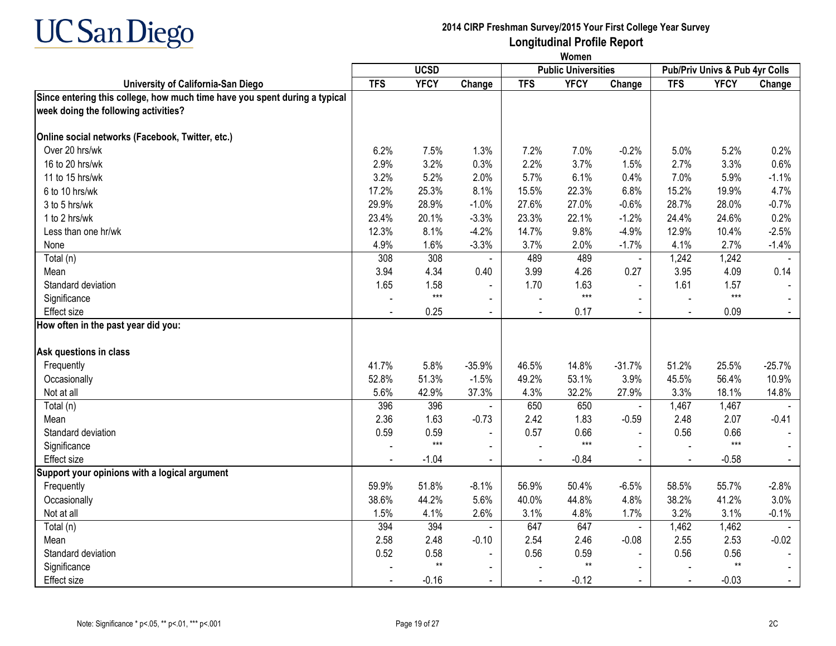

|                                                                                                                    | Women      |             |                          |            |                            |                |                                |             |          |
|--------------------------------------------------------------------------------------------------------------------|------------|-------------|--------------------------|------------|----------------------------|----------------|--------------------------------|-------------|----------|
|                                                                                                                    |            | <b>UCSD</b> |                          |            | <b>Public Universities</b> |                | Pub/Priv Univs & Pub 4yr Colls |             |          |
| University of California-San Diego                                                                                 | <b>TFS</b> | <b>YFCY</b> | Change                   | <b>TFS</b> | <b>YFCY</b>                | Change         | <b>TFS</b>                     | <b>YFCY</b> | Change   |
| Since entering this college, how much time have you spent during a typical<br>week doing the following activities? |            |             |                          |            |                            |                |                                |             |          |
| Online social networks (Facebook, Twitter, etc.)                                                                   |            |             |                          |            |                            |                |                                |             |          |
| Over 20 hrs/wk                                                                                                     | 6.2%       | 7.5%        | 1.3%                     | 7.2%       | 7.0%                       | $-0.2%$        | 5.0%                           | 5.2%        | 0.2%     |
| 16 to 20 hrs/wk                                                                                                    | 2.9%       | 3.2%        | 0.3%                     | 2.2%       | 3.7%                       | 1.5%           | 2.7%                           | 3.3%        | 0.6%     |
| 11 to 15 hrs/wk                                                                                                    | 3.2%       | 5.2%        | 2.0%                     | 5.7%       | 6.1%                       | 0.4%           | 7.0%                           | 5.9%        | $-1.1%$  |
| 6 to 10 hrs/wk                                                                                                     | 17.2%      | 25.3%       | 8.1%                     | 15.5%      | 22.3%                      | 6.8%           | 15.2%                          | 19.9%       | 4.7%     |
| 3 to 5 hrs/wk                                                                                                      | 29.9%      | 28.9%       | $-1.0%$                  | 27.6%      | 27.0%                      | $-0.6%$        | 28.7%                          | 28.0%       | $-0.7%$  |
| 1 to 2 hrs/wk                                                                                                      | 23.4%      | 20.1%       | $-3.3%$                  | 23.3%      | 22.1%                      | $-1.2%$        | 24.4%                          | 24.6%       | 0.2%     |
| Less than one hr/wk                                                                                                | 12.3%      | 8.1%        | $-4.2%$                  | 14.7%      | 9.8%                       | $-4.9%$        | 12.9%                          | 10.4%       | $-2.5%$  |
| None                                                                                                               | 4.9%       | 1.6%        | $-3.3%$                  | 3.7%       | 2.0%                       | $-1.7%$        | 4.1%                           | 2.7%        | $-1.4%$  |
| Total (n)                                                                                                          | 308        | 308         | $\blacksquare$           | 489        | 489                        | $\blacksquare$ | 1,242                          | 1,242       |          |
| Mean                                                                                                               | 3.94       | 4.34        | 0.40                     | 3.99       | 4.26                       | 0.27           | 3.95                           | 4.09        | 0.14     |
| Standard deviation                                                                                                 | 1.65       | 1.58        | $\blacksquare$           | 1.70       | 1.63                       | $\blacksquare$ | 1.61                           | 1.57        |          |
| Significance                                                                                                       |            | $***$       | $\blacksquare$           |            | $***$                      | $\blacksquare$ |                                | $***$       |          |
| <b>Effect</b> size                                                                                                 |            | 0.25        | $\blacksquare$           |            | 0.17                       | $\blacksquare$ |                                | 0.09        |          |
| How often in the past year did you:                                                                                |            |             |                          |            |                            |                |                                |             |          |
| Ask questions in class                                                                                             |            |             |                          |            |                            |                |                                |             |          |
| Frequently                                                                                                         | 41.7%      | 5.8%        | $-35.9%$                 | 46.5%      | 14.8%                      | $-31.7%$       | 51.2%                          | 25.5%       | $-25.7%$ |
| Occasionally                                                                                                       | 52.8%      | 51.3%       | $-1.5%$                  | 49.2%      | 53.1%                      | 3.9%           | 45.5%                          | 56.4%       | 10.9%    |
| Not at all                                                                                                         | 5.6%       | 42.9%       | 37.3%                    | 4.3%       | 32.2%                      | 27.9%          | 3.3%                           | 18.1%       | 14.8%    |
| Total (n)                                                                                                          | 396        | 396         |                          | 650        | 650                        | $\blacksquare$ | 1,467                          | 1,467       |          |
| Mean                                                                                                               | 2.36       | 1.63        | $-0.73$                  | 2.42       | 1.83                       | $-0.59$        | 2.48                           | 2.07        | $-0.41$  |
| Standard deviation                                                                                                 | 0.59       | 0.59        |                          | 0.57       | 0.66                       | $\sim$         | 0.56                           | 0.66        |          |
| Significance                                                                                                       |            | $***$       | $\blacksquare$           |            | $***$                      | $\mathbf{r}$   |                                | $***$       |          |
| <b>Effect size</b>                                                                                                 |            | $-1.04$     | $\blacksquare$           |            | $-0.84$                    | $\sim$         |                                | $-0.58$     |          |
| Support your opinions with a logical argument                                                                      |            |             |                          |            |                            |                |                                |             |          |
| Frequently                                                                                                         | 59.9%      | 51.8%       | $-8.1%$                  | 56.9%      | 50.4%                      | $-6.5%$        | 58.5%                          | 55.7%       | $-2.8%$  |
| Occasionally                                                                                                       | 38.6%      | 44.2%       | 5.6%                     | 40.0%      | 44.8%                      | 4.8%           | 38.2%                          | 41.2%       | 3.0%     |
| Not at all                                                                                                         | 1.5%       | 4.1%        | 2.6%                     | 3.1%       | 4.8%                       | 1.7%           | 3.2%                           | 3.1%        | $-0.1%$  |
| Total (n)                                                                                                          | 394        | 394         | $\blacksquare$           | 647        | 647                        | $\blacksquare$ | 1,462                          | 1,462       |          |
| Mean                                                                                                               | 2.58       | 2.48        | $-0.10$                  | 2.54       | 2.46                       | $-0.08$        | 2.55                           | 2.53        | $-0.02$  |
| Standard deviation                                                                                                 | 0.52       | 0.58        | $\overline{\phantom{a}}$ | 0.56       | 0.59                       |                | 0.56                           | 0.56        |          |
| Significance                                                                                                       |            | $**$        | $\blacksquare$           |            | $**$                       | $\blacksquare$ |                                | $**$        |          |
| <b>Effect size</b>                                                                                                 |            | $-0.16$     | $\blacksquare$           |            | $-0.12$                    |                |                                | $-0.03$     |          |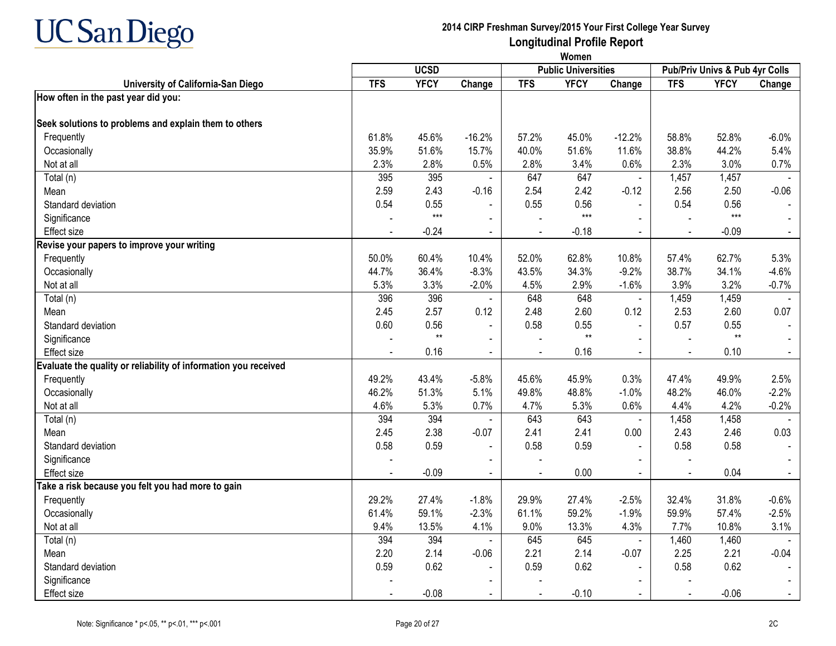

|                                                                 | Women          |             |                |            |                            |                          |                                |             |                |
|-----------------------------------------------------------------|----------------|-------------|----------------|------------|----------------------------|--------------------------|--------------------------------|-------------|----------------|
|                                                                 |                | <b>UCSD</b> |                |            | <b>Public Universities</b> |                          | Pub/Priv Univs & Pub 4yr Colls |             |                |
| University of California-San Diego                              | <b>TFS</b>     | <b>YFCY</b> | Change         | <b>TFS</b> | <b>YFCY</b>                | Change                   | <b>TFS</b>                     | <b>YFCY</b> | Change         |
| How often in the past year did you:                             |                |             |                |            |                            |                          |                                |             |                |
| Seek solutions to problems and explain them to others           |                |             |                |            |                            |                          |                                |             |                |
| Frequently                                                      | 61.8%          | 45.6%       | $-16.2%$       | 57.2%      | 45.0%                      | $-12.2%$                 | 58.8%                          | 52.8%       | $-6.0%$        |
| Occasionally                                                    | 35.9%          | 51.6%       | 15.7%          | 40.0%      | 51.6%                      | 11.6%                    | 38.8%                          | 44.2%       | 5.4%           |
| Not at all                                                      | 2.3%           | 2.8%        | 0.5%           | 2.8%       | 3.4%                       | 0.6%                     | 2.3%                           | 3.0%        | 0.7%           |
| Total (n)                                                       | 395            | 395         |                | 647        | 647                        | $\blacksquare$           | 1,457                          | 1,457       |                |
| Mean                                                            | 2.59           | 2.43        | $-0.16$        | 2.54       | 2.42                       | $-0.12$                  | 2.56                           | 2.50        | $-0.06$        |
| Standard deviation                                              | 0.54           | 0.55        |                | 0.55       | 0.56                       | $\blacksquare$           | 0.54                           | 0.56        |                |
| Significance                                                    |                | $***$       |                |            | $***$                      |                          |                                | $***$       |                |
| <b>Effect size</b>                                              |                | $-0.24$     |                |            | $-0.18$                    | $\blacksquare$           |                                | $-0.09$     | $\blacksquare$ |
| Revise your papers to improve your writing                      |                |             |                |            |                            |                          |                                |             |                |
| Frequently                                                      | 50.0%          | 60.4%       | 10.4%          | 52.0%      | 62.8%                      | 10.8%                    | 57.4%                          | 62.7%       | 5.3%           |
| Occasionally                                                    | 44.7%          | 36.4%       | $-8.3%$        | 43.5%      | 34.3%                      | $-9.2%$                  | 38.7%                          | 34.1%       | $-4.6%$        |
| Not at all                                                      | 5.3%           | 3.3%        | $-2.0%$        | 4.5%       | 2.9%                       | $-1.6%$                  | 3.9%                           | 3.2%        | $-0.7%$        |
| Total (n)                                                       | 396            | 396         |                | 648        | 648                        | $\blacksquare$           | 1,459                          | 1,459       |                |
| Mean                                                            | 2.45           | 2.57        | 0.12           | 2.48       | 2.60                       | 0.12                     | 2.53                           | 2.60        | 0.07           |
| Standard deviation                                              | 0.60           | 0.56        | $\Delta$       | 0.58       | 0.55                       | $\overline{a}$           | 0.57                           | 0.55        |                |
| Significance                                                    |                | $**$        | $\blacksquare$ |            | $**$                       | $\blacksquare$           |                                | $**$        |                |
| Effect size                                                     |                | 0.16        |                |            | 0.16                       |                          |                                | 0.10        |                |
| Evaluate the quality or reliability of information you received |                |             |                |            |                            |                          |                                |             |                |
| Frequently                                                      | 49.2%          | 43.4%       | $-5.8%$        | 45.6%      | 45.9%                      | 0.3%                     | 47.4%                          | 49.9%       | 2.5%           |
| Occasionally                                                    | 46.2%          | 51.3%       | 5.1%           | 49.8%      | 48.8%                      | $-1.0%$                  | 48.2%                          | 46.0%       | $-2.2%$        |
| Not at all                                                      | 4.6%           | 5.3%        | 0.7%           | 4.7%       | 5.3%                       | 0.6%                     | 4.4%                           | 4.2%        | $-0.2%$        |
| Total (n)                                                       | 394            | 394         |                | 643        | 643                        | $\overline{\phantom{a}}$ | 1,458                          | 1,458       |                |
| Mean                                                            | 2.45           | 2.38        | $-0.07$        | 2.41       | 2.41                       | 0.00                     | 2.43                           | 2.46        | 0.03           |
| Standard deviation                                              | 0.58           | 0.59        |                | 0.58       | 0.59                       |                          | 0.58                           | 0.58        |                |
| Significance                                                    |                |             |                |            |                            |                          |                                |             |                |
| Effect size                                                     | $\blacksquare$ | $-0.09$     | $\sim$         | $\sim$     | 0.00                       | $\blacksquare$           | $\blacksquare$                 | 0.04        | $\blacksquare$ |
| Take a risk because you felt you had more to gain               |                |             |                |            |                            |                          |                                |             |                |
| Frequently                                                      | 29.2%          | 27.4%       | $-1.8%$        | 29.9%      | 27.4%                      | $-2.5%$                  | 32.4%                          | 31.8%       | $-0.6%$        |
| Occasionally                                                    | 61.4%          | 59.1%       | $-2.3%$        | 61.1%      | 59.2%                      | $-1.9%$                  | 59.9%                          | 57.4%       | $-2.5%$        |
| Not at all                                                      | 9.4%           | 13.5%       | 4.1%           | 9.0%       | 13.3%                      | 4.3%                     | 7.7%                           | 10.8%       | 3.1%           |
| Total (n)                                                       | 394            | 394         |                | 645        | 645                        | $\blacksquare$           | 1,460                          | 1,460       |                |
| Mean                                                            | 2.20           | 2.14        | $-0.06$        | 2.21       | 2.14                       | $-0.07$                  | 2.25                           | 2.21        | $-0.04$        |
| Standard deviation                                              | 0.59           | 0.62        |                | 0.59       | 0.62                       | $\blacksquare$           | 0.58                           | 0.62        |                |
| Significance                                                    |                |             |                |            |                            | ÷,                       |                                |             |                |
| Effect size                                                     |                | $-0.08$     | $\blacksquare$ |            | $-0.10$                    | $\blacksquare$           |                                | $-0.06$     |                |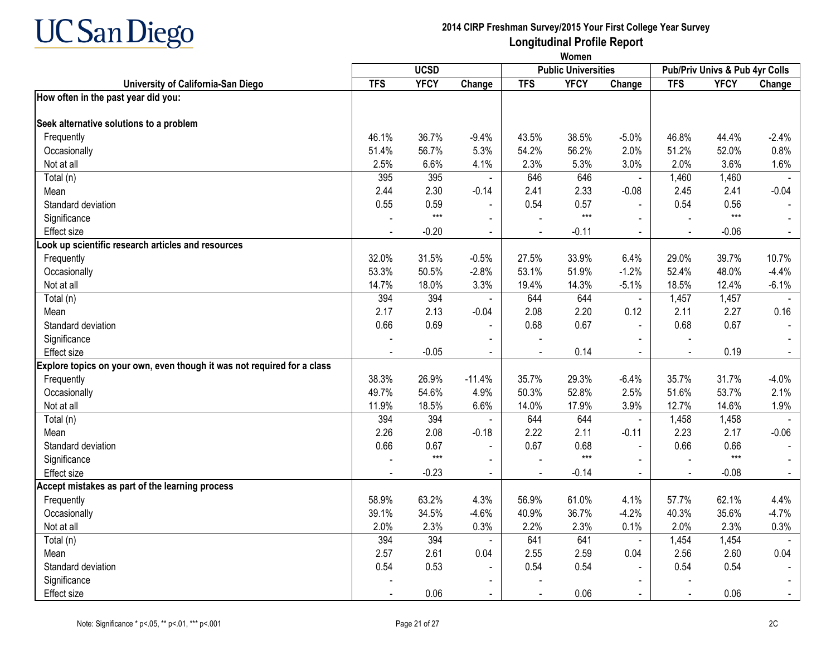

|                                                                         | Women          |             |                |                |                            |                |                                |             |                |  |
|-------------------------------------------------------------------------|----------------|-------------|----------------|----------------|----------------------------|----------------|--------------------------------|-------------|----------------|--|
|                                                                         |                | <b>UCSD</b> |                |                | <b>Public Universities</b> |                | Pub/Priv Univs & Pub 4yr Colls |             |                |  |
| University of California-San Diego                                      | <b>TFS</b>     | <b>YFCY</b> | Change         | <b>TFS</b>     | <b>YFCY</b>                | Change         | <b>TFS</b>                     | <b>YFCY</b> | Change         |  |
| How often in the past year did you:                                     |                |             |                |                |                            |                |                                |             |                |  |
| Seek alternative solutions to a problem                                 |                |             |                |                |                            |                |                                |             |                |  |
| Frequently                                                              | 46.1%          | 36.7%       | $-9.4%$        | 43.5%          | 38.5%                      | $-5.0%$        | 46.8%                          | 44.4%       | $-2.4%$        |  |
| Occasionally                                                            | 51.4%          | 56.7%       | 5.3%           | 54.2%          | 56.2%                      | 2.0%           | 51.2%                          | 52.0%       | 0.8%           |  |
| Not at all                                                              | 2.5%           | 6.6%        | 4.1%           | 2.3%           | 5.3%                       | 3.0%           | 2.0%                           | 3.6%        | 1.6%           |  |
| Total (n)                                                               | 395            | 395         |                | 646            | 646                        |                | 1,460                          | 1,460       |                |  |
| Mean                                                                    | 2.44           | 2.30        | -0.14          | 2.41           | 2.33                       | $-0.08$        | 2.45                           | 2.41        | $-0.04$        |  |
| Standard deviation                                                      | 0.55           | 0.59        |                | 0.54           | 0.57                       |                | 0.54                           | 0.56        |                |  |
| Significance                                                            |                | $***$       |                |                | $***$                      |                |                                | $***$       |                |  |
| <b>Effect</b> size                                                      |                | $-0.20$     |                |                | $-0.11$                    |                |                                | $-0.06$     |                |  |
| Look up scientific research articles and resources                      |                |             |                |                |                            |                |                                |             |                |  |
| Frequently                                                              | 32.0%          | 31.5%       | $-0.5%$        | 27.5%          | 33.9%                      | 6.4%           | 29.0%                          | 39.7%       | 10.7%          |  |
| Occasionally                                                            | 53.3%          | 50.5%       | $-2.8%$        | 53.1%          | 51.9%                      | $-1.2%$        | 52.4%                          | 48.0%       | $-4.4%$        |  |
| Not at all                                                              | 14.7%          | 18.0%       | 3.3%           | 19.4%          | 14.3%                      | $-5.1%$        | 18.5%                          | 12.4%       | $-6.1%$        |  |
| Total (n)                                                               | 394            | 394         |                | 644            | 644                        | $\blacksquare$ | 1,457                          | 1,457       |                |  |
| Mean                                                                    | 2.17           | 2.13        | $-0.04$        | 2.08           | 2.20                       | 0.12           | 2.11                           | 2.27        | 0.16           |  |
| Standard deviation                                                      | 0.66           | 0.69        | $\sim$         | 0.68           | 0.67                       | $\sim$         | 0.68                           | 0.67        |                |  |
| Significance                                                            |                |             | $\blacksquare$ |                |                            |                |                                |             |                |  |
| <b>Effect size</b>                                                      |                | $-0.05$     |                |                | 0.14                       |                |                                | 0.19        |                |  |
| Explore topics on your own, even though it was not required for a class |                |             |                |                |                            |                |                                |             |                |  |
| Frequently                                                              | 38.3%          | 26.9%       | $-11.4%$       | 35.7%          | 29.3%                      | $-6.4%$        | 35.7%                          | 31.7%       | $-4.0%$        |  |
| Occasionally                                                            | 49.7%          | 54.6%       | 4.9%           | 50.3%          | 52.8%                      | 2.5%           | 51.6%                          | 53.7%       | 2.1%           |  |
| Not at all                                                              | 11.9%          | 18.5%       | 6.6%           | 14.0%          | 17.9%                      | 3.9%           | 12.7%                          | 14.6%       | 1.9%           |  |
| Total (n)                                                               | 394            | 394         |                | 644            | 644                        | $\blacksquare$ | 1,458                          | 1,458       |                |  |
| Mean                                                                    | 2.26           | 2.08        | $-0.18$        | 2.22           | 2.11                       | $-0.11$        | 2.23                           | 2.17        | $-0.06$        |  |
| Standard deviation                                                      | 0.66           | 0.67        |                | 0.67           | 0.68                       |                | 0.66                           | 0.66        |                |  |
| Significance                                                            |                | $***$       | $\mathbf{r}$   |                | $***$                      |                |                                | $***$       |                |  |
| Effect size                                                             | $\blacksquare$ | $-0.23$     | $\sim$         | $\blacksquare$ | $-0.14$                    | $\blacksquare$ | $\blacksquare$                 | $-0.08$     | $\sim$         |  |
| Accept mistakes as part of the learning process                         |                |             |                |                |                            |                |                                |             |                |  |
| Frequently                                                              | 58.9%          | 63.2%       | 4.3%           | 56.9%          | 61.0%                      | 4.1%           | 57.7%                          | 62.1%       | 4.4%           |  |
| Occasionally                                                            | 39.1%          | 34.5%       | $-4.6%$        | 40.9%          | 36.7%                      | $-4.2%$        | 40.3%                          | 35.6%       | $-4.7%$        |  |
| Not at all                                                              | 2.0%           | 2.3%        | 0.3%           | 2.2%           | 2.3%                       | 0.1%           | 2.0%                           | 2.3%        | 0.3%           |  |
| Total (n)                                                               | 394            | 394         | $\blacksquare$ | 641            | 641                        | $\blacksquare$ | 1,454                          | 1,454       | $\overline{a}$ |  |
| Mean                                                                    | 2.57           | 2.61        | 0.04           | 2.55           | 2.59                       | 0.04           | 2.56                           | 2.60        | 0.04           |  |
| Standard deviation                                                      | 0.54           | 0.53        | $\blacksquare$ | 0.54           | 0.54                       |                | 0.54                           | 0.54        |                |  |
| Significance                                                            |                |             |                |                |                            |                |                                |             |                |  |
| Effect size                                                             |                | 0.06        | $\sim$         |                | 0.06                       | $\blacksquare$ | $\sim$                         | 0.06        | $\blacksquare$ |  |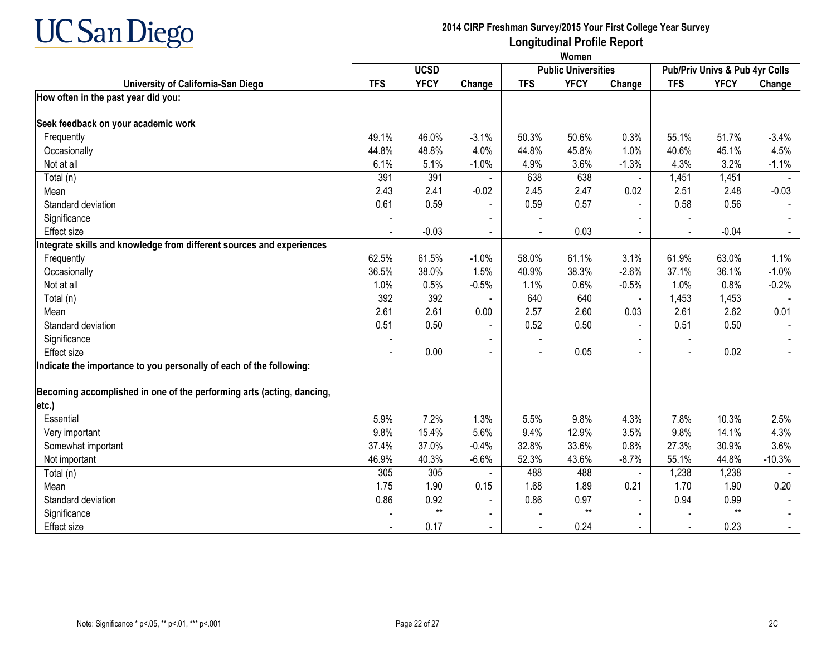

|                                                                       | Women      |             |                |            |                            |                |                |                                |          |
|-----------------------------------------------------------------------|------------|-------------|----------------|------------|----------------------------|----------------|----------------|--------------------------------|----------|
|                                                                       |            | <b>UCSD</b> |                |            | <b>Public Universities</b> |                |                | Pub/Priv Univs & Pub 4yr Colls |          |
| University of California-San Diego                                    | <b>TFS</b> | <b>YFCY</b> | Change         | <b>TFS</b> | <b>YFCY</b>                | Change         | <b>TFS</b>     | <b>YFCY</b>                    | Change   |
| How often in the past year did you:                                   |            |             |                |            |                            |                |                |                                |          |
| Seek feedback on your academic work                                   |            |             |                |            |                            |                |                |                                |          |
| Frequently                                                            | 49.1%      | 46.0%       | $-3.1%$        | 50.3%      | 50.6%                      | 0.3%           | 55.1%          | 51.7%                          | $-3.4%$  |
| Occasionally                                                          | 44.8%      | 48.8%       | 4.0%           | 44.8%      | 45.8%                      | 1.0%           | 40.6%          | 45.1%                          | 4.5%     |
| Not at all                                                            | 6.1%       | 5.1%        | $-1.0%$        | 4.9%       | 3.6%                       | $-1.3%$        | 4.3%           | 3.2%                           | $-1.1%$  |
| Total (n)                                                             | 391        | 391         |                | 638        | 638                        |                | 1,451          | 1,451                          |          |
| Mean                                                                  | 2.43       | 2.41        | $-0.02$        | 2.45       | 2.47                       | 0.02           | 2.51           | 2.48                           | $-0.03$  |
| Standard deviation                                                    | 0.61       | 0.59        |                | 0.59       | 0.57                       | $\blacksquare$ | 0.58           | 0.56                           |          |
| Significance                                                          |            |             |                |            |                            |                |                |                                |          |
| <b>Effect</b> size                                                    |            | $-0.03$     |                |            | 0.03                       |                |                | $-0.04$                        |          |
| Integrate skills and knowledge from different sources and experiences |            |             |                |            |                            |                |                |                                |          |
| Frequently                                                            | 62.5%      | 61.5%       | $-1.0%$        | 58.0%      | 61.1%                      | 3.1%           | 61.9%          | 63.0%                          | 1.1%     |
| Occasionally                                                          | 36.5%      | 38.0%       | 1.5%           | 40.9%      | 38.3%                      | $-2.6%$        | 37.1%          | 36.1%                          | $-1.0%$  |
| Not at all                                                            | 1.0%       | 0.5%        | $-0.5%$        | 1.1%       | 0.6%                       | $-0.5%$        | 1.0%           | 0.8%                           | $-0.2%$  |
| Total (n)                                                             | 392        | 392         |                | 640        | 640                        | $\blacksquare$ | 1,453          | 1,453                          |          |
| Mean                                                                  | 2.61       | 2.61        | 0.00           | 2.57       | 2.60                       | 0.03           | 2.61           | 2.62                           | 0.01     |
| Standard deviation                                                    | 0.51       | 0.50        | $\blacksquare$ | 0.52       | 0.50                       | $\blacksquare$ | 0.51           | 0.50                           |          |
| Significance                                                          |            |             |                |            |                            |                |                |                                |          |
| <b>Effect</b> size                                                    |            | 0.00        | $\blacksquare$ |            | 0.05                       |                |                | 0.02                           |          |
| Indicate the importance to you personally of each of the following:   |            |             |                |            |                            |                |                |                                |          |
| Becoming accomplished in one of the performing arts (acting, dancing, |            |             |                |            |                            |                |                |                                |          |
| etc.)                                                                 |            |             |                |            |                            |                |                |                                |          |
| Essential                                                             | 5.9%       | 7.2%        | 1.3%           | 5.5%       | 9.8%                       | 4.3%           | 7.8%           | 10.3%                          | 2.5%     |
| Very important                                                        | 9.8%       | 15.4%       | 5.6%           | 9.4%       | 12.9%                      | 3.5%           | 9.8%           | 14.1%                          | 4.3%     |
| Somewhat important                                                    | 37.4%      | 37.0%       | $-0.4%$        | 32.8%      | 33.6%                      | 0.8%           | 27.3%          | 30.9%                          | 3.6%     |
| Not important                                                         | 46.9%      | 40.3%       | $-6.6%$        | 52.3%      | 43.6%                      | $-8.7%$        | 55.1%          | 44.8%                          | $-10.3%$ |
| Total (n)                                                             | 305        | 305         |                | 488        | 488                        | $\blacksquare$ | 1,238          | 1,238                          |          |
| Mean                                                                  | 1.75       | 1.90        | 0.15           | 1.68       | 1.89                       | 0.21           | 1.70           | 1.90                           | 0.20     |
| Standard deviation                                                    | 0.86       | 0.92        | $\blacksquare$ | 0.86       | 0.97                       | $\blacksquare$ | 0.94           | 0.99                           |          |
| Significance                                                          |            | $**$        | $\blacksquare$ |            | $**$                       |                |                | $***$                          |          |
| Effect size                                                           |            | 0.17        | $\blacksquare$ |            | 0.24                       | $\mathbf{r}$   | $\blacksquare$ | 0.23                           |          |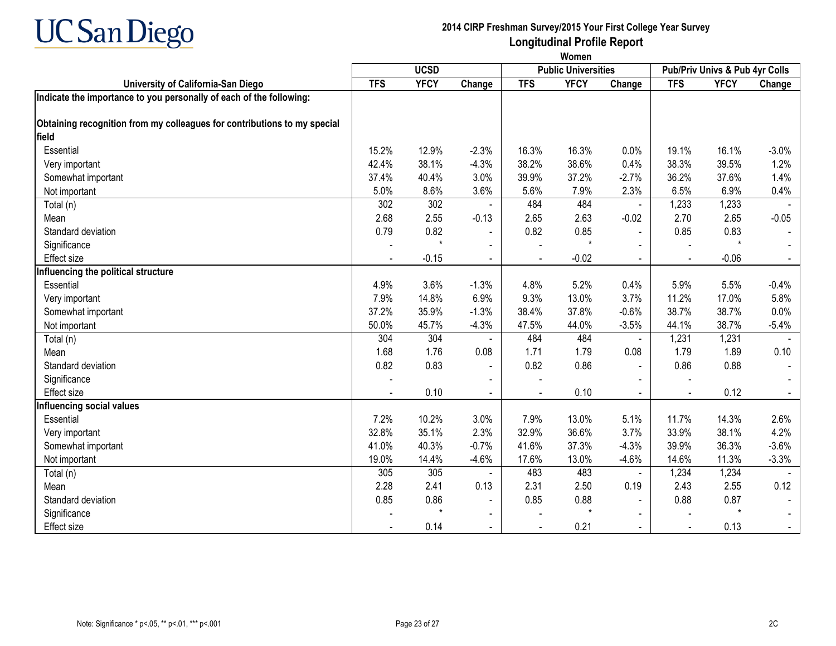

|                                                                          | Women      |             |                |            |                            |                |            |                                |                |
|--------------------------------------------------------------------------|------------|-------------|----------------|------------|----------------------------|----------------|------------|--------------------------------|----------------|
|                                                                          |            | <b>UCSD</b> |                |            | <b>Public Universities</b> |                |            | Pub/Priv Univs & Pub 4yr Colls |                |
| University of California-San Diego                                       | <b>TFS</b> | <b>YFCY</b> | Change         | <b>TFS</b> | <b>YFCY</b>                | Change         | <b>TFS</b> | <b>YFCY</b>                    | Change         |
| Indicate the importance to you personally of each of the following:      |            |             |                |            |                            |                |            |                                |                |
| Obtaining recognition from my colleagues for contributions to my special |            |             |                |            |                            |                |            |                                |                |
| field                                                                    |            |             |                |            |                            |                |            |                                |                |
| Essential                                                                | 15.2%      | 12.9%       | $-2.3%$        | 16.3%      | 16.3%                      | 0.0%           | 19.1%      | 16.1%                          | $-3.0%$        |
| Very important                                                           | 42.4%      | 38.1%       | $-4.3%$        | 38.2%      | 38.6%                      | 0.4%           | 38.3%      | 39.5%                          | 1.2%           |
| Somewhat important                                                       | 37.4%      | 40.4%       | 3.0%           | 39.9%      | 37.2%                      | $-2.7%$        | 36.2%      | 37.6%                          | 1.4%           |
| Not important                                                            | 5.0%       | 8.6%        | 3.6%           | 5.6%       | 7.9%                       | 2.3%           | 6.5%       | 6.9%                           | 0.4%           |
| Total (n)                                                                | 302        | 302         |                | 484        | 484                        | $\blacksquare$ | 1,233      | 1,233                          |                |
| Mean                                                                     | 2.68       | 2.55        | $-0.13$        | 2.65       | 2.63                       | $-0.02$        | 2.70       | 2.65                           | $-0.05$        |
| Standard deviation                                                       | 0.79       | 0.82        | $\blacksquare$ | 0.82       | 0.85                       | $\blacksquare$ | 0.85       | 0.83                           |                |
| Significance                                                             |            | $\star$     | $\blacksquare$ |            | ÷                          |                |            | $\star$                        |                |
| Effect size                                                              |            | $-0.15$     | $\blacksquare$ |            | $-0.02$                    |                | ÷,         | $-0.06$                        | $\blacksquare$ |
| Influencing the political structure                                      |            |             |                |            |                            |                |            |                                |                |
| Essential                                                                | 4.9%       | 3.6%        | $-1.3%$        | 4.8%       | 5.2%                       | 0.4%           | 5.9%       | 5.5%                           | $-0.4%$        |
| Very important                                                           | 7.9%       | 14.8%       | 6.9%           | 9.3%       | 13.0%                      | 3.7%           | 11.2%      | 17.0%                          | 5.8%           |
| Somewhat important                                                       | 37.2%      | 35.9%       | $-1.3%$        | 38.4%      | 37.8%                      | $-0.6%$        | 38.7%      | 38.7%                          | 0.0%           |
| Not important                                                            | 50.0%      | 45.7%       | $-4.3%$        | 47.5%      | 44.0%                      | $-3.5%$        | 44.1%      | 38.7%                          | $-5.4%$        |
| Total (n)                                                                | 304        | 304         | $\blacksquare$ | 484        | 484                        | $\blacksquare$ | 1,231      | 1,231                          |                |
| Mean                                                                     | 1.68       | 1.76        | 0.08           | 1.71       | 1.79                       | 0.08           | 1.79       | 1.89                           | 0.10           |
| Standard deviation                                                       | 0.82       | 0.83        | $\blacksquare$ | 0.82       | 0.86                       | $\blacksquare$ | 0.86       | 0.88                           |                |
| Significance                                                             |            |             |                |            |                            |                |            |                                |                |
| <b>Effect size</b>                                                       |            | 0.10        | $\sim$         |            | 0.10                       |                |            | 0.12                           |                |
| Influencing social values                                                |            |             |                |            |                            |                |            |                                |                |
| Essential                                                                | 7.2%       | 10.2%       | 3.0%           | 7.9%       | 13.0%                      | 5.1%           | 11.7%      | 14.3%                          | 2.6%           |
| Very important                                                           | 32.8%      | 35.1%       | 2.3%           | 32.9%      | 36.6%                      | 3.7%           | 33.9%      | 38.1%                          | 4.2%           |
| Somewhat important                                                       | 41.0%      | 40.3%       | $-0.7%$        | 41.6%      | 37.3%                      | $-4.3%$        | 39.9%      | 36.3%                          | $-3.6%$        |
| Not important                                                            | 19.0%      | 14.4%       | $-4.6%$        | 17.6%      | 13.0%                      | $-4.6%$        | 14.6%      | 11.3%                          | $-3.3%$        |
| Total (n)                                                                | 305        | 305         |                | 483        | 483                        | $\Delta$       | 1,234      | 1,234                          |                |
| Mean                                                                     | 2.28       | 2.41        | 0.13           | 2.31       | 2.50                       | 0.19           | 2.43       | 2.55                           | 0.12           |
| Standard deviation                                                       | 0.85       | 0.86        | $\blacksquare$ | 0.85       | 0.88                       | $\blacksquare$ | 0.88       | 0.87                           |                |
| Significance                                                             |            | $\star$     | $\blacksquare$ |            | $\star$                    |                |            | $\star$                        |                |
| Effect size                                                              |            | 0.14        | $\sim$         |            | 0.21                       | $\sim$         |            | 0.13                           |                |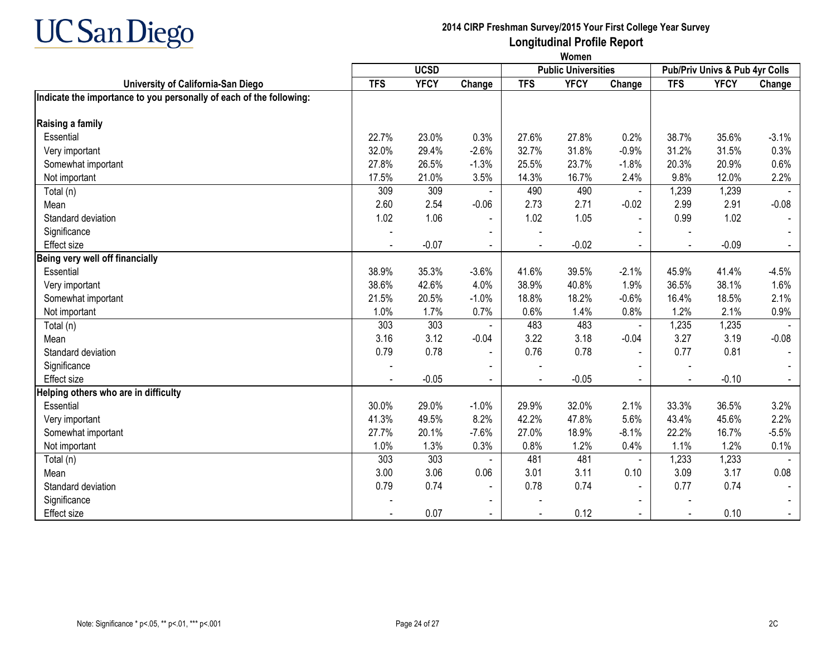

|                                                                     | Women                                     |             |                          |            |             |                |                |                                |         |
|---------------------------------------------------------------------|-------------------------------------------|-------------|--------------------------|------------|-------------|----------------|----------------|--------------------------------|---------|
|                                                                     | <b>UCSD</b><br><b>Public Universities</b> |             |                          |            |             |                |                | Pub/Priv Univs & Pub 4yr Colls |         |
| University of California-San Diego                                  | <b>TFS</b>                                | <b>YFCY</b> | Change                   | <b>TFS</b> | <b>YFCY</b> | Change         | <b>TFS</b>     | <b>YFCY</b>                    | Change  |
| Indicate the importance to you personally of each of the following: |                                           |             |                          |            |             |                |                |                                |         |
| Raising a family                                                    |                                           |             |                          |            |             |                |                |                                |         |
| Essential                                                           | 22.7%                                     | 23.0%       | 0.3%                     | 27.6%      | 27.8%       | 0.2%           | 38.7%          | 35.6%                          | $-3.1%$ |
| Very important                                                      | 32.0%                                     | 29.4%       | $-2.6%$                  | 32.7%      | 31.8%       | $-0.9%$        | 31.2%          | 31.5%                          | 0.3%    |
| Somewhat important                                                  | 27.8%                                     | 26.5%       | $-1.3%$                  | 25.5%      | 23.7%       | $-1.8%$        | 20.3%          | 20.9%                          | 0.6%    |
| Not important                                                       | 17.5%                                     | 21.0%       | 3.5%                     | 14.3%      | 16.7%       | 2.4%           | 9.8%           | 12.0%                          | 2.2%    |
| Total (n)                                                           | 309                                       | 309         |                          | 490        | 490         | $\blacksquare$ | 1,239          | 1,239                          |         |
| Mean                                                                | 2.60                                      | 2.54        | $-0.06$                  | 2.73       | 2.71        | $-0.02$        | 2.99           | 2.91                           | $-0.08$ |
| Standard deviation                                                  | 1.02                                      | 1.06        |                          | 1.02       | 1.05        | $\sim$         | 0.99           | 1.02                           |         |
| Significance                                                        |                                           |             |                          |            |             |                |                |                                |         |
| Effect size                                                         |                                           | $-0.07$     |                          |            | $-0.02$     | $\sim$         |                | $-0.09$                        |         |
| Being very well off financially                                     |                                           |             |                          |            |             |                |                |                                |         |
| Essential                                                           | 38.9%                                     | 35.3%       | $-3.6%$                  | 41.6%      | 39.5%       | $-2.1%$        | 45.9%          | 41.4%                          | $-4.5%$ |
| Very important                                                      | 38.6%                                     | 42.6%       | 4.0%                     | 38.9%      | 40.8%       | 1.9%           | 36.5%          | 38.1%                          | 1.6%    |
| Somewhat important                                                  | 21.5%                                     | 20.5%       | $-1.0%$                  | 18.8%      | 18.2%       | $-0.6%$        | 16.4%          | 18.5%                          | 2.1%    |
| Not important                                                       | 1.0%                                      | 1.7%        | 0.7%                     | 0.6%       | 1.4%        | 0.8%           | 1.2%           | 2.1%                           | 0.9%    |
| Total (n)                                                           | 303                                       | 303         |                          | 483        | 483         | $\blacksquare$ | 1,235          | 1,235                          |         |
| Mean                                                                | 3.16                                      | 3.12        | $-0.04$                  | 3.22       | 3.18        | $-0.04$        | 3.27           | 3.19                           | $-0.08$ |
| Standard deviation                                                  | 0.79                                      | 0.78        |                          | 0.76       | 0.78        |                | 0.77           | 0.81                           |         |
| Significance                                                        |                                           |             |                          |            |             |                |                |                                |         |
| Effect size                                                         |                                           | $-0.05$     | $\blacksquare$           |            | $-0.05$     | $\blacksquare$ | $\blacksquare$ | $-0.10$                        |         |
| Helping others who are in difficulty                                |                                           |             |                          |            |             |                |                |                                |         |
| Essential                                                           | 30.0%                                     | 29.0%       | $-1.0%$                  | 29.9%      | 32.0%       | 2.1%           | 33.3%          | 36.5%                          | 3.2%    |
| Very important                                                      | 41.3%                                     | 49.5%       | 8.2%                     | 42.2%      | 47.8%       | 5.6%           | 43.4%          | 45.6%                          | 2.2%    |
| Somewhat important                                                  | 27.7%                                     | 20.1%       | $-7.6%$                  | 27.0%      | 18.9%       | $-8.1%$        | 22.2%          | 16.7%                          | $-5.5%$ |
| Not important                                                       | 1.0%                                      | 1.3%        | 0.3%                     | 0.8%       | 1.2%        | 0.4%           | 1.1%           | 1.2%                           | 0.1%    |
| Total (n)                                                           | 303                                       | 303         |                          | 481        | 481         | $\blacksquare$ | 1,233          | 1,233                          |         |
| Mean                                                                | 3.00                                      | 3.06        | 0.06                     | 3.01       | 3.11        | 0.10           | 3.09           | 3.17                           | 0.08    |
| Standard deviation                                                  | 0.79                                      | 0.74        | $\blacksquare$           | 0.78       | 0.74        | $\blacksquare$ | 0.77           | 0.74                           |         |
| Significance                                                        |                                           |             | $\overline{\phantom{a}}$ |            |             |                |                |                                |         |
| <b>Effect size</b>                                                  |                                           | 0.07        |                          |            | 0.12        |                |                | 0.10                           |         |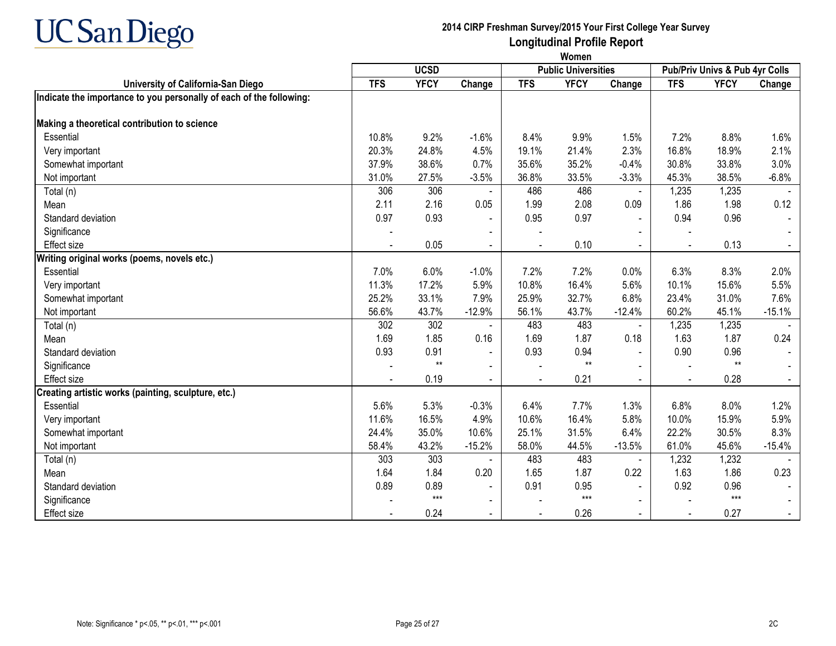

|                                                                     | Women      |             |                |                            |             |                |                                |             |          |
|---------------------------------------------------------------------|------------|-------------|----------------|----------------------------|-------------|----------------|--------------------------------|-------------|----------|
|                                                                     |            | <b>UCSD</b> |                | <b>Public Universities</b> |             |                | Pub/Priv Univs & Pub 4yr Colls |             |          |
| University of California-San Diego                                  | <b>TFS</b> | <b>YFCY</b> | Change         | <b>TFS</b>                 | <b>YFCY</b> | Change         | <b>TFS</b>                     | <b>YFCY</b> | Change   |
| Indicate the importance to you personally of each of the following: |            |             |                |                            |             |                |                                |             |          |
| Making a theoretical contribution to science                        |            |             |                |                            |             |                |                                |             |          |
| Essential                                                           | 10.8%      | 9.2%        | $-1.6%$        | 8.4%                       | 9.9%        | 1.5%           | 7.2%                           | 8.8%        | 1.6%     |
| Very important                                                      | 20.3%      | 24.8%       | 4.5%           | 19.1%                      | 21.4%       | 2.3%           | 16.8%                          | 18.9%       | 2.1%     |
| Somewhat important                                                  | 37.9%      | 38.6%       | 0.7%           | 35.6%                      | 35.2%       | $-0.4%$        | 30.8%                          | 33.8%       | 3.0%     |
| Not important                                                       | 31.0%      | 27.5%       | $-3.5%$        | 36.8%                      | 33.5%       | $-3.3%$        | 45.3%                          | 38.5%       | $-6.8%$  |
| Total (n)                                                           | 306        | 306         |                | 486                        | 486         | $\blacksquare$ | 1,235                          | 1,235       |          |
| Mean                                                                | 2.11       | 2.16        | 0.05           | 1.99                       | 2.08        | 0.09           | 1.86                           | 1.98        | 0.12     |
| Standard deviation                                                  | 0.97       | 0.93        |                | 0.95                       | 0.97        | $\blacksquare$ | 0.94                           | 0.96        |          |
| Significance                                                        |            |             |                |                            |             |                |                                |             |          |
| Effect size                                                         |            | 0.05        | $\blacksquare$ |                            | 0.10        | $\sim$         |                                | 0.13        |          |
| Writing original works (poems, novels etc.)                         |            |             |                |                            |             |                |                                |             |          |
| Essential                                                           | 7.0%       | 6.0%        | $-1.0%$        | 7.2%                       | 7.2%        | 0.0%           | 6.3%                           | 8.3%        | 2.0%     |
| Very important                                                      | 11.3%      | 17.2%       | 5.9%           | 10.8%                      | 16.4%       | 5.6%           | 10.1%                          | 15.6%       | 5.5%     |
| Somewhat important                                                  | 25.2%      | 33.1%       | 7.9%           | 25.9%                      | 32.7%       | 6.8%           | 23.4%                          | 31.0%       | 7.6%     |
| Not important                                                       | 56.6%      | 43.7%       | $-12.9%$       | 56.1%                      | 43.7%       | $-12.4%$       | 60.2%                          | 45.1%       | $-15.1%$ |
| Total (n)                                                           | 302        | 302         |                | 483                        | 483         | $\blacksquare$ | 1,235                          | 1,235       |          |
| Mean                                                                | 1.69       | 1.85        | 0.16           | 1.69                       | 1.87        | 0.18           | 1.63                           | 1.87        | 0.24     |
| Standard deviation                                                  | 0.93       | 0.91        |                | 0.93                       | 0.94        |                | 0.90                           | 0.96        |          |
| Significance                                                        |            | $**$        | $\blacksquare$ |                            | $***$       |                |                                | $**$        |          |
| Effect size                                                         |            | 0.19        | $\blacksquare$ |                            | 0.21        | $\blacksquare$ | $\sim$                         | 0.28        |          |
| Creating artistic works (painting, sculpture, etc.)                 |            |             |                |                            |             |                |                                |             |          |
| Essential                                                           | 5.6%       | 5.3%        | $-0.3%$        | 6.4%                       | 7.7%        | 1.3%           | 6.8%                           | 8.0%        | 1.2%     |
| Very important                                                      | 11.6%      | 16.5%       | 4.9%           | 10.6%                      | 16.4%       | 5.8%           | 10.0%                          | 15.9%       | 5.9%     |
| Somewhat important                                                  | 24.4%      | 35.0%       | 10.6%          | 25.1%                      | 31.5%       | 6.4%           | 22.2%                          | 30.5%       | 8.3%     |
| Not important                                                       | 58.4%      | 43.2%       | $-15.2%$       | 58.0%                      | 44.5%       | $-13.5%$       | 61.0%                          | 45.6%       | $-15.4%$ |
| Total (n)                                                           | 303        | 303         |                | 483                        | 483         |                | 1,232                          | 1,232       |          |
| Mean                                                                | 1.64       | 1.84        | 0.20           | 1.65                       | 1.87        | 0.22           | 1.63                           | 1.86        | 0.23     |
| Standard deviation                                                  | 0.89       | 0.89        | $\blacksquare$ | 0.91                       | 0.95        |                | 0.92                           | 0.96        |          |
| Significance                                                        |            | $***$       |                |                            | $***$       |                |                                | $***$       |          |
| Effect size                                                         |            | 0.24        |                |                            | 0.26        | $\blacksquare$ | $\blacksquare$                 | 0.27        |          |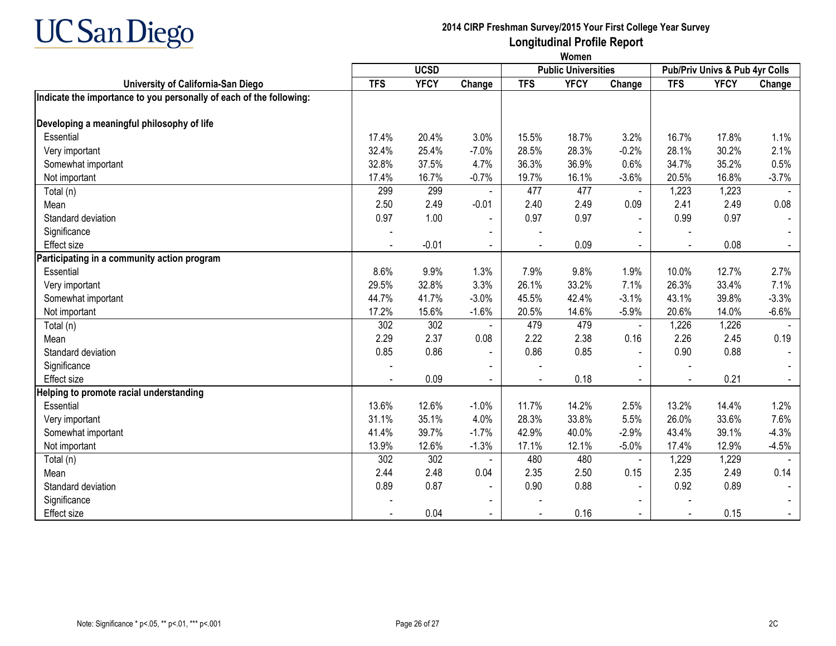

|                                                                     | Women                                     |             |                |                                |             |                |            |             |         |
|---------------------------------------------------------------------|-------------------------------------------|-------------|----------------|--------------------------------|-------------|----------------|------------|-------------|---------|
|                                                                     | <b>UCSD</b><br><b>Public Universities</b> |             |                | Pub/Priv Univs & Pub 4yr Colls |             |                |            |             |         |
| University of California-San Diego                                  | <b>TFS</b>                                | <b>YFCY</b> | Change         | <b>TFS</b>                     | <b>YFCY</b> | Change         | <b>TFS</b> | <b>YFCY</b> | Change  |
| Indicate the importance to you personally of each of the following: |                                           |             |                |                                |             |                |            |             |         |
| Developing a meaningful philosophy of life                          |                                           |             |                |                                |             |                |            |             |         |
| Essential                                                           | 17.4%                                     | 20.4%       | 3.0%           | 15.5%                          | 18.7%       | 3.2%           | 16.7%      | 17.8%       | 1.1%    |
| Very important                                                      | 32.4%                                     | 25.4%       | $-7.0%$        | 28.5%                          | 28.3%       | $-0.2%$        | 28.1%      | 30.2%       | 2.1%    |
| Somewhat important                                                  | 32.8%                                     | 37.5%       | 4.7%           | 36.3%                          | 36.9%       | 0.6%           | 34.7%      | 35.2%       | 0.5%    |
| Not important                                                       | 17.4%                                     | 16.7%       | $-0.7%$        | 19.7%                          | 16.1%       | $-3.6%$        | 20.5%      | 16.8%       | $-3.7%$ |
| Total (n)                                                           | 299                                       | 299         | $\blacksquare$ | 477                            | 477         | $\blacksquare$ | 1,223      | 1,223       |         |
| Mean                                                                | 2.50                                      | 2.49        | $-0.01$        | 2.40                           | 2.49        | 0.09           | 2.41       | 2.49        | 0.08    |
| Standard deviation                                                  | 0.97                                      | 1.00        |                | 0.97                           | 0.97        | $\blacksquare$ | 0.99       | 0.97        |         |
| Significance                                                        |                                           |             |                |                                |             |                |            |             |         |
| <b>Effect size</b>                                                  |                                           | $-0.01$     |                |                                | 0.09        |                |            | 0.08        |         |
| Participating in a community action program                         |                                           |             |                |                                |             |                |            |             |         |
| Essential                                                           | 8.6%                                      | 9.9%        | 1.3%           | 7.9%                           | 9.8%        | 1.9%           | 10.0%      | 12.7%       | 2.7%    |
| Very important                                                      | 29.5%                                     | 32.8%       | 3.3%           | 26.1%                          | 33.2%       | 7.1%           | 26.3%      | 33.4%       | 7.1%    |
| Somewhat important                                                  | 44.7%                                     | 41.7%       | $-3.0%$        | 45.5%                          | 42.4%       | $-3.1%$        | 43.1%      | 39.8%       | $-3.3%$ |
| Not important                                                       | 17.2%                                     | 15.6%       | $-1.6%$        | 20.5%                          | 14.6%       | $-5.9%$        | 20.6%      | 14.0%       | $-6.6%$ |
| Total (n)                                                           | 302                                       | 302         |                | 479                            | 479         |                | 1,226      | 1,226       |         |
| Mean                                                                | 2.29                                      | 2.37        | 0.08           | 2.22                           | 2.38        | 0.16           | 2.26       | 2.45        | 0.19    |
| Standard deviation                                                  | 0.85                                      | 0.86        |                | 0.86                           | 0.85        | $\blacksquare$ | 0.90       | 0.88        |         |
| Significance                                                        |                                           |             |                |                                |             |                |            |             |         |
| Effect size                                                         |                                           | 0.09        | $\sim$         | $\blacksquare$                 | 0.18        | $\blacksquare$ | $\sim$     | 0.21        | $\sim$  |
| Helping to promote racial understanding                             |                                           |             |                |                                |             |                |            |             |         |
| Essential                                                           | 13.6%                                     | 12.6%       | $-1.0%$        | 11.7%                          | 14.2%       | 2.5%           | 13.2%      | 14.4%       | 1.2%    |
| Very important                                                      | 31.1%                                     | 35.1%       | 4.0%           | 28.3%                          | 33.8%       | 5.5%           | 26.0%      | 33.6%       | 7.6%    |
| Somewhat important                                                  | 41.4%                                     | 39.7%       | $-1.7%$        | 42.9%                          | 40.0%       | $-2.9%$        | 43.4%      | 39.1%       | $-4.3%$ |
| Not important                                                       | 13.9%                                     | 12.6%       | $-1.3%$        | 17.1%                          | 12.1%       | $-5.0%$        | 17.4%      | 12.9%       | $-4.5%$ |
| Total (n)                                                           | 302                                       | 302         |                | 480                            | 480         |                | 1,229      | 1,229       |         |
| Mean                                                                | 2.44                                      | 2.48        | 0.04           | 2.35                           | 2.50        | 0.15           | 2.35       | 2.49        | 0.14    |
| Standard deviation                                                  | 0.89                                      | 0.87        | $\blacksquare$ | 0.90                           | 0.88        | $\blacksquare$ | 0.92       | 0.89        |         |
| Significance                                                        |                                           |             |                |                                |             |                |            |             |         |
| <b>Effect size</b>                                                  |                                           | 0.04        |                |                                | 0.16        |                |            | 0.15        |         |